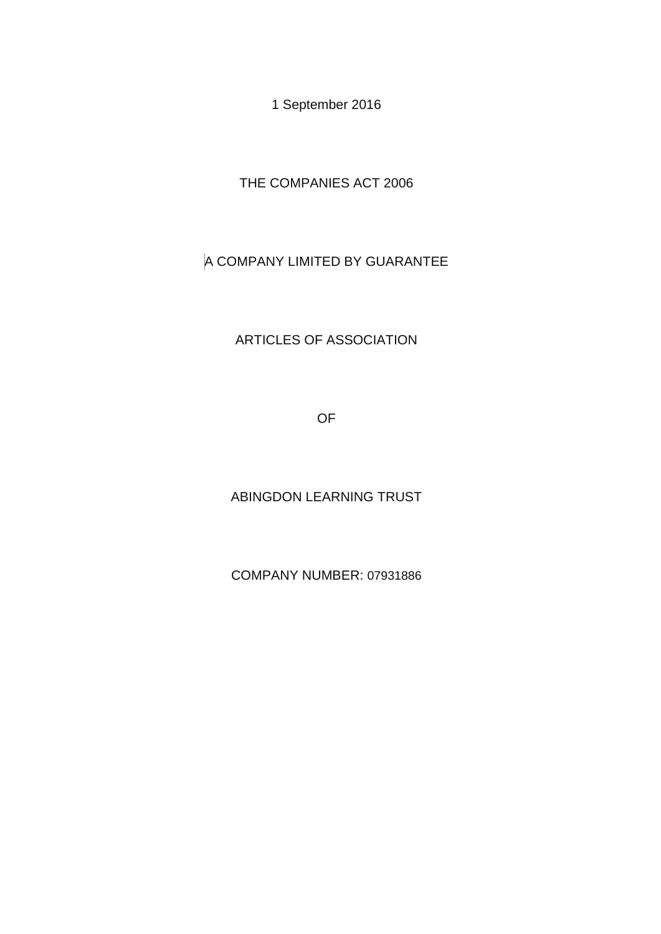1 September 2016

THE COMPANIES ACT 2006

# A COMPANY LIMITED BY GUARANTEE

# ARTICLES OF ASSOCIATION

OF

ABINGDON LEARNING TRUST

COMPANY NUMBER: 07931886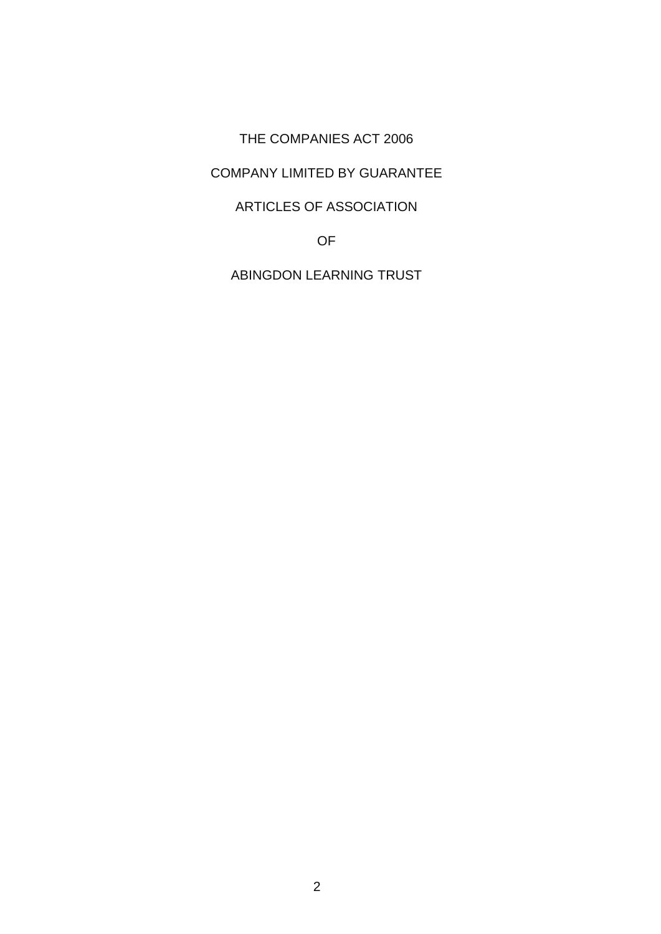#### THE COMPANIES ACT 2006

# COMPANY LIMITED BY GUARANTEE

# ARTICLES OF ASSOCIATION

OF

ABINGDON LEARNING TRUST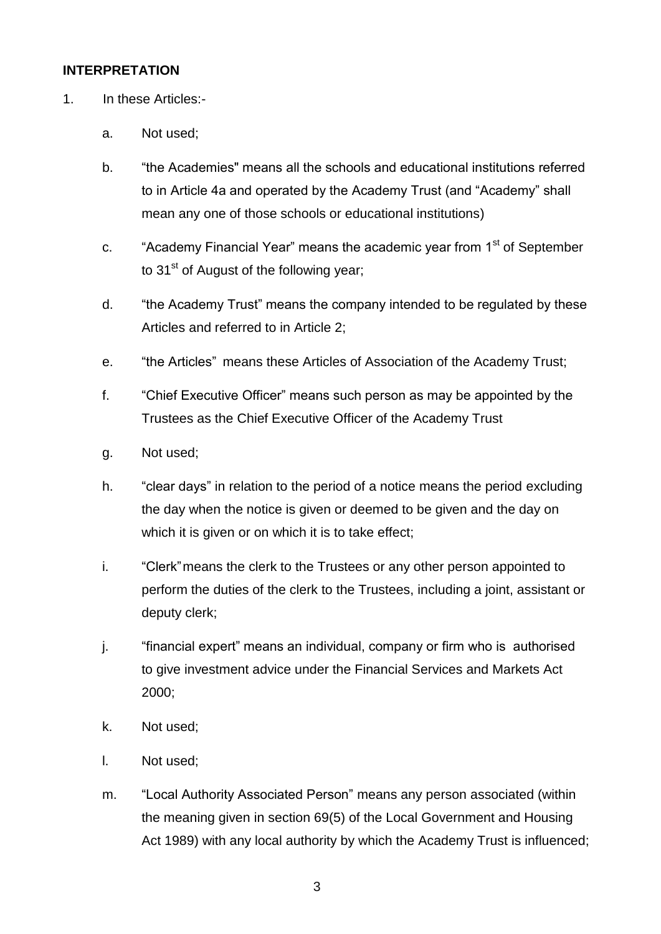#### **INTERPRETATION**

- 1. In these Articles:
	- a. Not used;
	- b. "the Academies" means all the schools and educational institutions referred to in Article 4a and operated by the Academy Trust (and "Academy" shall mean any one of those schools or educational institutions)
	- c. "Academy Financial Year" means the academic year from 1<sup>st</sup> of September to  $31<sup>st</sup>$  of August of the following year;
	- d. "the Academy Trust" means the company intended to be regulated by these Articles and referred to in Article 2;
	- e. "the Articles" means these Articles of Association of the Academy Trust;
	- f. "Chief Executive Officer" means such person as may be appointed by the Trustees as the Chief Executive Officer of the Academy Trust
	- g. Not used;
	- h. "clear days" in relation to the period of a notice means the period excluding the day when the notice is given or deemed to be given and the day on which it is given or on which it is to take effect;
	- i. "Clerk"means the clerk to the Trustees or any other person appointed to perform the duties of the clerk to the Trustees, including a joint, assistant or deputy clerk;
	- j. "financial expert" means an individual, company or firm who is authorised to give investment advice under the Financial Services and Markets Act 2000;
	- k. Not used;
	- l. Not used;
	- m. "Local Authority Associated Person" means any person associated (within the meaning given in section 69(5) of the Local Government and Housing Act 1989) with any local authority by which the Academy Trust is influenced;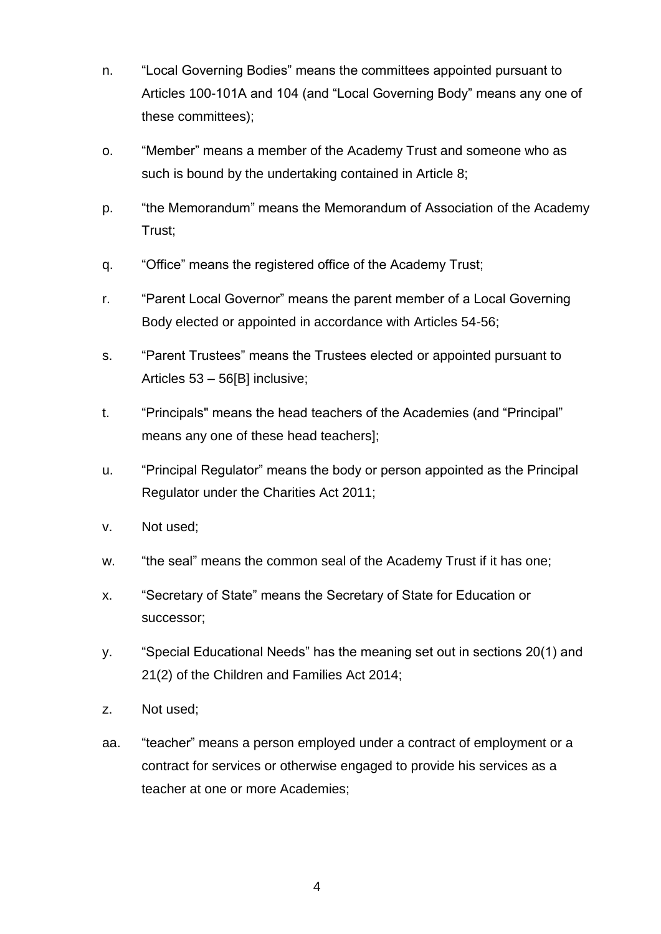- n. "Local Governing Bodies" means the committees appointed pursuant to Articles 100-101A and 104 (and "Local Governing Body" means any one of these committees);
- o. "Member" means a member of the Academy Trust and someone who as such is bound by the undertaking contained in Article 8;
- p. "the Memorandum" means the Memorandum of Association of the Academy Trust;
- q. "Office" means the registered office of the Academy Trust;
- r. "Parent Local Governor" means the parent member of a Local Governing Body elected or appointed in accordance with Articles 54-56;
- s. "Parent Trustees" means the Trustees elected or appointed pursuant to Articles 53 – 56[B] inclusive;
- t. "Principals" means the head teachers of the Academies (and "Principal" means any one of these head teachers];
- u. "Principal Regulator" means the body or person appointed as the Principal Regulator under the Charities Act 2011;
- v. Not used;
- w. "the seal" means the common seal of the Academy Trust if it has one;
- x. "Secretary of State" means the Secretary of State for Education or successor;
- y. "Special Educational Needs" has the meaning set out in sections 20(1) and 21(2) of the Children and Families Act 2014;
- z. Not used;
- aa. "teacher" means a person employed under a contract of employment or a contract for services or otherwise engaged to provide his services as a teacher at one or more Academies;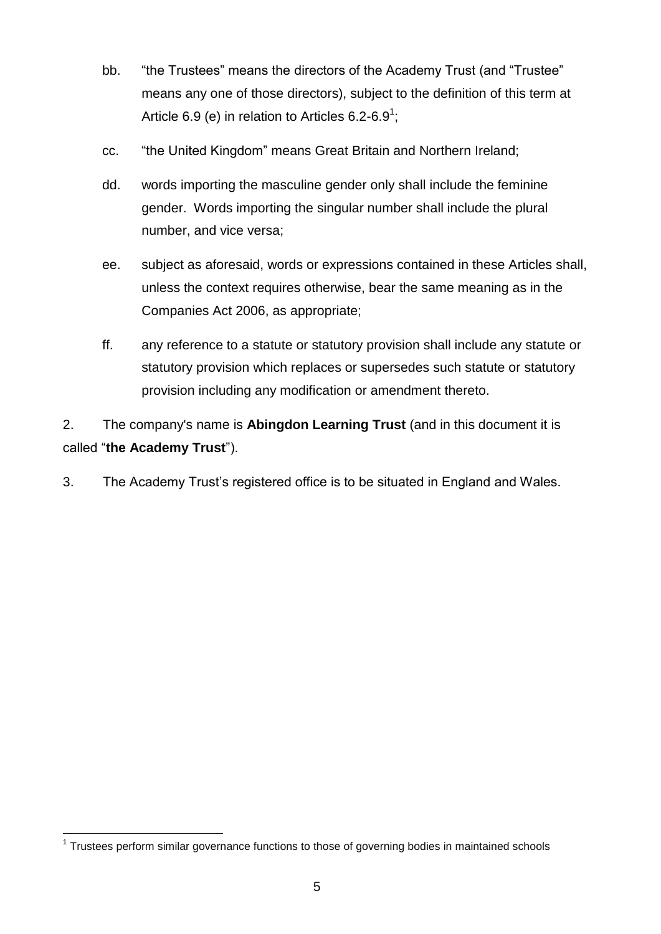- bb. "the Trustees" means the directors of the Academy Trust (and "Trustee" means any one of those directors), subject to the definition of this term at Article 6.9 (e) in relation to Articles 6.2-6.9<sup>1</sup>;
- cc. "the United Kingdom" means Great Britain and Northern Ireland;
- dd. words importing the masculine gender only shall include the feminine gender. Words importing the singular number shall include the plural number, and vice versa;
- ee. subject as aforesaid, words or expressions contained in these Articles shall, unless the context requires otherwise, bear the same meaning as in the Companies Act 2006, as appropriate;
- ff. any reference to a statute or statutory provision shall include any statute or statutory provision which replaces or supersedes such statute or statutory provision including any modification or amendment thereto.

2. The company's name is **Abingdon Learning Trust** (and in this document it is called "**the Academy Trust**").

3. The Academy Trust's registered office is to be situated in England and Wales.

<sup>-</sup><sup>1</sup> Trustees perform similar governance functions to those of governing bodies in maintained schools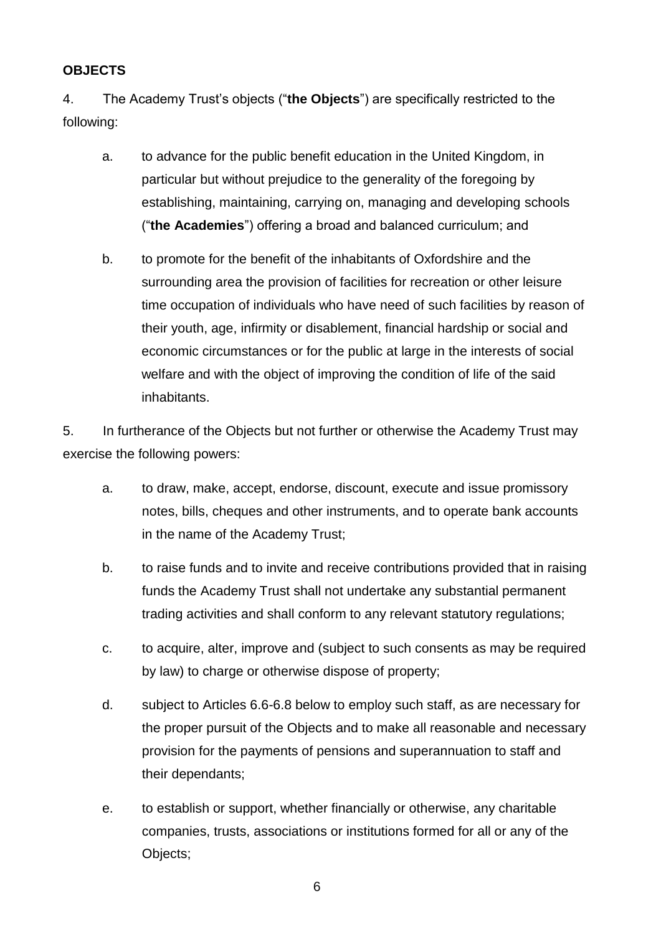#### **OBJECTS**

4. The Academy Trust's objects ("**the Objects**") are specifically restricted to the following:

- a. to advance for the public benefit education in the United Kingdom, in particular but without prejudice to the generality of the foregoing by establishing, maintaining, carrying on, managing and developing schools ("**the Academies**") offering a broad and balanced curriculum; and
- b. to promote for the benefit of the inhabitants of Oxfordshire and the surrounding area the provision of facilities for recreation or other leisure time occupation of individuals who have need of such facilities by reason of their youth, age, infirmity or disablement, financial hardship or social and economic circumstances or for the public at large in the interests of social welfare and with the object of improving the condition of life of the said inhabitants.

5. In furtherance of the Objects but not further or otherwise the Academy Trust may exercise the following powers:

- a. to draw, make, accept, endorse, discount, execute and issue promissory notes, bills, cheques and other instruments, and to operate bank accounts in the name of the Academy Trust;
- b. to raise funds and to invite and receive contributions provided that in raising funds the Academy Trust shall not undertake any substantial permanent trading activities and shall conform to any relevant statutory regulations;
- c. to acquire, alter, improve and (subject to such consents as may be required by law) to charge or otherwise dispose of property;
- d. subject to Articles 6.6-6.8 below to employ such staff, as are necessary for the proper pursuit of the Objects and to make all reasonable and necessary provision for the payments of pensions and superannuation to staff and their dependants;
- e. to establish or support, whether financially or otherwise, any charitable companies, trusts, associations or institutions formed for all or any of the Objects;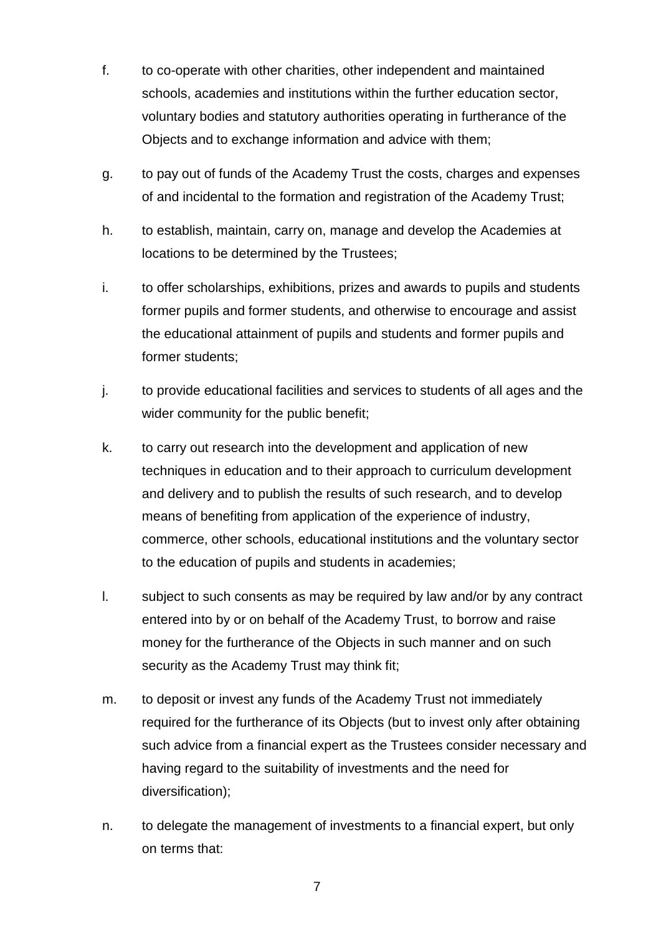- f. to co-operate with other charities, other independent and maintained schools, academies and institutions within the further education sector, voluntary bodies and statutory authorities operating in furtherance of the Objects and to exchange information and advice with them;
- g. to pay out of funds of the Academy Trust the costs, charges and expenses of and incidental to the formation and registration of the Academy Trust;
- h. to establish, maintain, carry on, manage and develop the Academies at locations to be determined by the Trustees;
- i. to offer scholarships, exhibitions, prizes and awards to pupils and students former pupils and former students, and otherwise to encourage and assist the educational attainment of pupils and students and former pupils and former students;
- j. to provide educational facilities and services to students of all ages and the wider community for the public benefit;
- k. to carry out research into the development and application of new techniques in education and to their approach to curriculum development and delivery and to publish the results of such research, and to develop means of benefiting from application of the experience of industry, commerce, other schools, educational institutions and the voluntary sector to the education of pupils and students in academies;
- l. subject to such consents as may be required by law and/or by any contract entered into by or on behalf of the Academy Trust, to borrow and raise money for the furtherance of the Objects in such manner and on such security as the Academy Trust may think fit;
- m. to deposit or invest any funds of the Academy Trust not immediately required for the furtherance of its Objects (but to invest only after obtaining such advice from a financial expert as the Trustees consider necessary and having regard to the suitability of investments and the need for diversification);
- n. to delegate the management of investments to a financial expert, but only on terms that: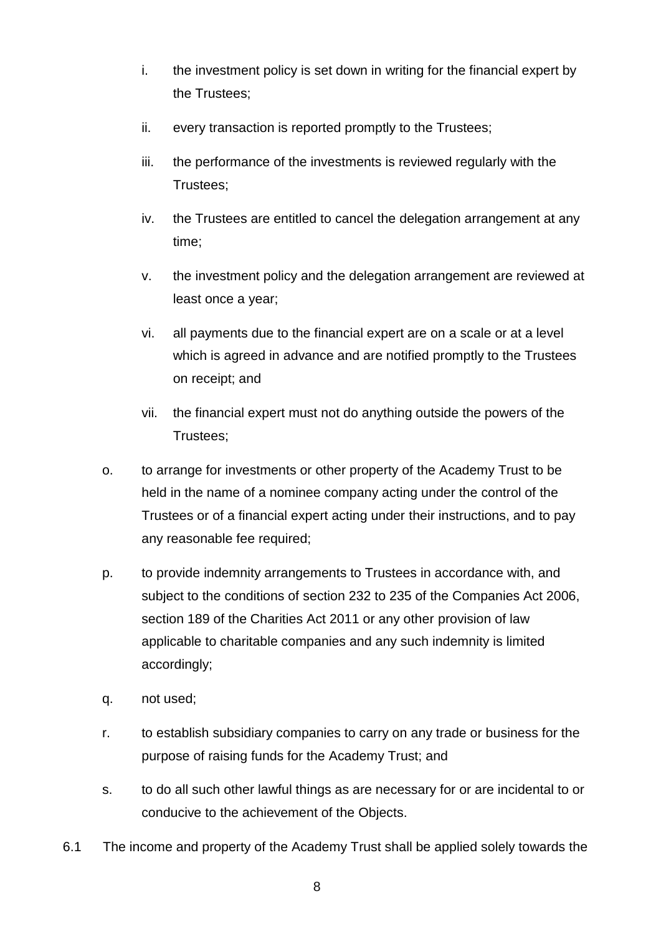- i. the investment policy is set down in writing for the financial expert by the Trustees;
- ii. every transaction is reported promptly to the Trustees;
- iii. the performance of the investments is reviewed regularly with the Trustees;
- iv. the Trustees are entitled to cancel the delegation arrangement at any time;
- v. the investment policy and the delegation arrangement are reviewed at least once a year;
- vi. all payments due to the financial expert are on a scale or at a level which is agreed in advance and are notified promptly to the Trustees on receipt; and
- vii. the financial expert must not do anything outside the powers of the Trustees;
- o. to arrange for investments or other property of the Academy Trust to be held in the name of a nominee company acting under the control of the Trustees or of a financial expert acting under their instructions, and to pay any reasonable fee required;
- p. to provide indemnity arrangements to Trustees in accordance with, and subject to the conditions of section 232 to 235 of the Companies Act 2006, section 189 of the Charities Act 2011 or any other provision of law applicable to charitable companies and any such indemnity is limited accordingly;
- q. not used;
- r. to establish subsidiary companies to carry on any trade or business for the purpose of raising funds for the Academy Trust; and
- s. to do all such other lawful things as are necessary for or are incidental to or conducive to the achievement of the Objects.
- 6.1 The income and property of the Academy Trust shall be applied solely towards the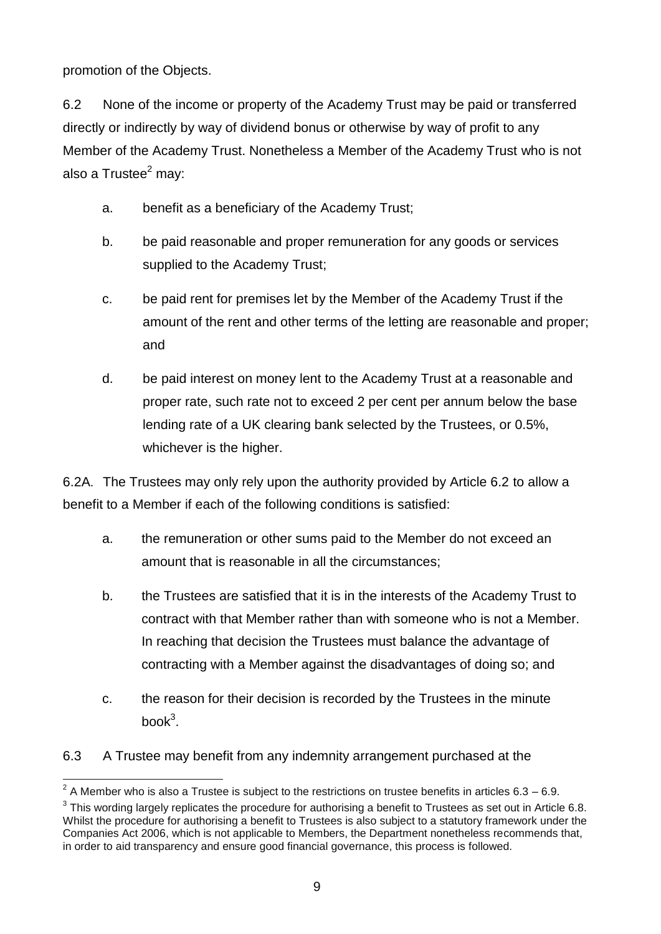promotion of the Objects.

6.2 None of the income or property of the Academy Trust may be paid or transferred directly or indirectly by way of dividend bonus or otherwise by way of profit to any Member of the Academy Trust. Nonetheless a Member of the Academy Trust who is not also a Trustee $^2$  may:

- a. benefit as a beneficiary of the Academy Trust;
- b. be paid reasonable and proper remuneration for any goods or services supplied to the Academy Trust;
- c. be paid rent for premises let by the Member of the Academy Trust if the amount of the rent and other terms of the letting are reasonable and proper; and
- d. be paid interest on money lent to the Academy Trust at a reasonable and proper rate, such rate not to exceed 2 per cent per annum below the base lending rate of a UK clearing bank selected by the Trustees, or 0.5%, whichever is the higher.

6.2A. The Trustees may only rely upon the authority provided by Article 6.2 to allow a benefit to a Member if each of the following conditions is satisfied:

- a. the remuneration or other sums paid to the Member do not exceed an amount that is reasonable in all the circumstances;
- b. the Trustees are satisfied that it is in the interests of the Academy Trust to contract with that Member rather than with someone who is not a Member. In reaching that decision the Trustees must balance the advantage of contracting with a Member against the disadvantages of doing so; and
- c. the reason for their decision is recorded by the Trustees in the minute book $3$ .
- 6.3 A Trustee may benefit from any indemnity arrangement purchased at the

 2 A Member who is also a Trustee is subject to the restrictions on trustee benefits in articles 6.3 – 6.9.

 $3$  This wording largely replicates the procedure for authorising a benefit to Trustees as set out in Article 6.8. Whilst the procedure for authorising a benefit to Trustees is also subject to a statutory framework under the Companies Act 2006, which is not applicable to Members, the Department nonetheless recommends that, in order to aid transparency and ensure good financial governance, this process is followed.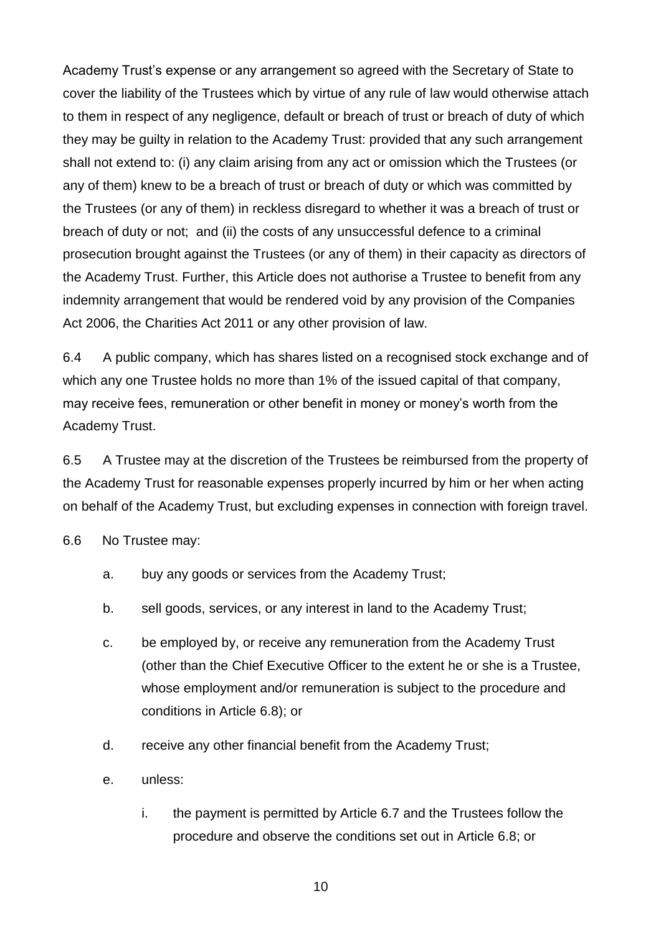Academy Trust's expense or any arrangement so agreed with the Secretary of State to cover the liability of the Trustees which by virtue of any rule of law would otherwise attach to them in respect of any negligence, default or breach of trust or breach of duty of which they may be guilty in relation to the Academy Trust: provided that any such arrangement shall not extend to: (i) any claim arising from any act or omission which the Trustees (or any of them) knew to be a breach of trust or breach of duty or which was committed by the Trustees (or any of them) in reckless disregard to whether it was a breach of trust or breach of duty or not; and (ii) the costs of any unsuccessful defence to a criminal prosecution brought against the Trustees (or any of them) in their capacity as directors of the Academy Trust. Further, this Article does not authorise a Trustee to benefit from any indemnity arrangement that would be rendered void by any provision of the Companies Act 2006, the Charities Act 2011 or any other provision of law.

6.4 A public company, which has shares listed on a recognised stock exchange and of which any one Trustee holds no more than 1% of the issued capital of that company, may receive fees, remuneration or other benefit in money or money's worth from the Academy Trust.

6.5 A Trustee may at the discretion of the Trustees be reimbursed from the property of the Academy Trust for reasonable expenses properly incurred by him or her when acting on behalf of the Academy Trust, but excluding expenses in connection with foreign travel.

6.6 No Trustee may:

- a. buy any goods or services from the Academy Trust;
- b. sell goods, services, or any interest in land to the Academy Trust;
- c. be employed by, or receive any remuneration from the Academy Trust (other than the Chief Executive Officer to the extent he or she is a Trustee, whose employment and/or remuneration is subject to the procedure and conditions in Article 6.8); or
- d. receive any other financial benefit from the Academy Trust;
- e. unless:
	- i. the payment is permitted by Article 6.7 and the Trustees follow the procedure and observe the conditions set out in Article 6.8; or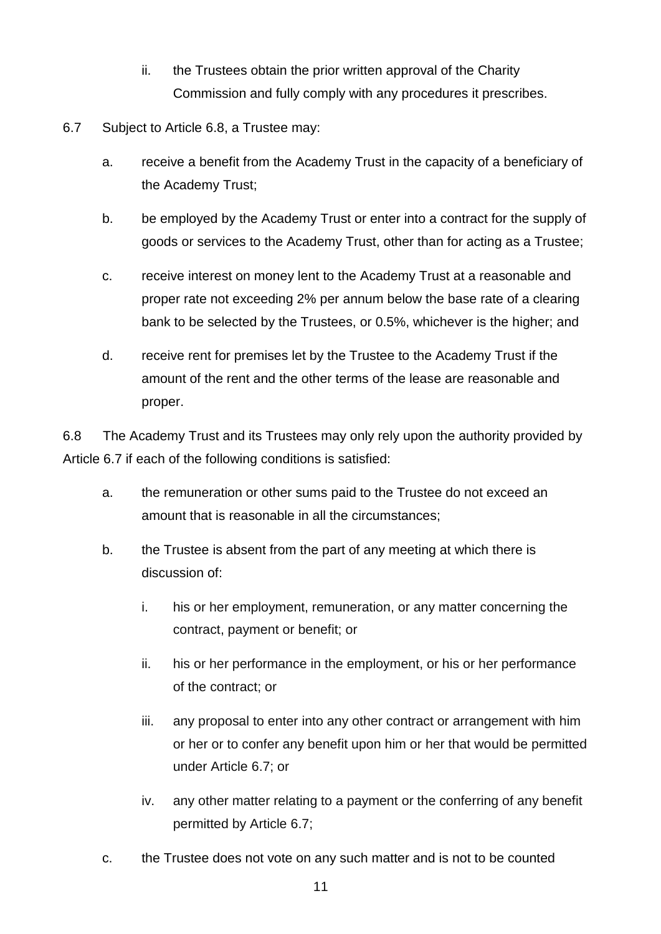- ii. the Trustees obtain the prior written approval of the Charity Commission and fully comply with any procedures it prescribes.
- 6.7 Subject to Article 6.8, a Trustee may:
	- a. receive a benefit from the Academy Trust in the capacity of a beneficiary of the Academy Trust;
	- b. be employed by the Academy Trust or enter into a contract for the supply of goods or services to the Academy Trust, other than for acting as a Trustee;
	- c. receive interest on money lent to the Academy Trust at a reasonable and proper rate not exceeding 2% per annum below the base rate of a clearing bank to be selected by the Trustees, or 0.5%, whichever is the higher; and
	- d. receive rent for premises let by the Trustee to the Academy Trust if the amount of the rent and the other terms of the lease are reasonable and proper.

6.8 The Academy Trust and its Trustees may only rely upon the authority provided by Article 6.7 if each of the following conditions is satisfied:

- a. the remuneration or other sums paid to the Trustee do not exceed an amount that is reasonable in all the circumstances;
- b. the Trustee is absent from the part of any meeting at which there is discussion of:
	- i. his or her employment, remuneration, or any matter concerning the contract, payment or benefit; or
	- ii. his or her performance in the employment, or his or her performance of the contract; or
	- iii. any proposal to enter into any other contract or arrangement with him or her or to confer any benefit upon him or her that would be permitted under Article 6.7; or
	- iv. any other matter relating to a payment or the conferring of any benefit permitted by Article 6.7;
- c. the Trustee does not vote on any such matter and is not to be counted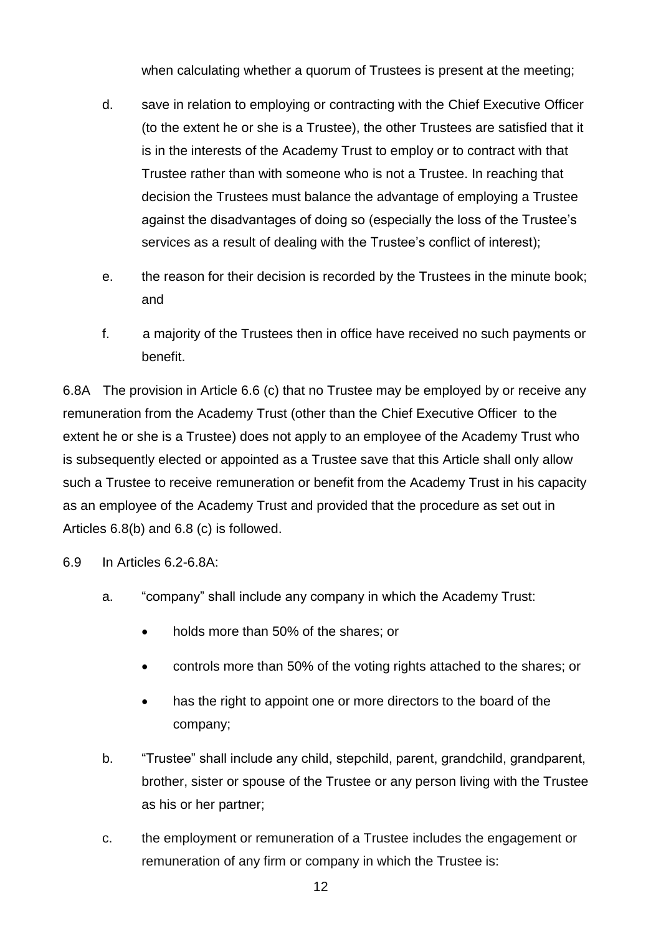when calculating whether a quorum of Trustees is present at the meeting:

- d. save in relation to employing or contracting with the Chief Executive Officer (to the extent he or she is a Trustee), the other Trustees are satisfied that it is in the interests of the Academy Trust to employ or to contract with that Trustee rather than with someone who is not a Trustee. In reaching that decision the Trustees must balance the advantage of employing a Trustee against the disadvantages of doing so (especially the loss of the Trustee's services as a result of dealing with the Trustee's conflict of interest);
- e. the reason for their decision is recorded by the Trustees in the minute book; and
- f. a majority of the Trustees then in office have received no such payments or benefit.

6.8A The provision in Article 6.6 (c) that no Trustee may be employed by or receive any remuneration from the Academy Trust (other than the Chief Executive Officer to the extent he or she is a Trustee) does not apply to an employee of the Academy Trust who is subsequently elected or appointed as a Trustee save that this Article shall only allow such a Trustee to receive remuneration or benefit from the Academy Trust in his capacity as an employee of the Academy Trust and provided that the procedure as set out in Articles 6.8(b) and 6.8 (c) is followed.

- 6.9 In Articles 6.2-6.8A:
	- a. "company" shall include any company in which the Academy Trust:
		- holds more than 50% of the shares; or
		- controls more than 50% of the voting rights attached to the shares; or
		- has the right to appoint one or more directors to the board of the company;
	- b. "Trustee" shall include any child, stepchild, parent, grandchild, grandparent, brother, sister or spouse of the Trustee or any person living with the Trustee as his or her partner;
	- c. the employment or remuneration of a Trustee includes the engagement or remuneration of any firm or company in which the Trustee is: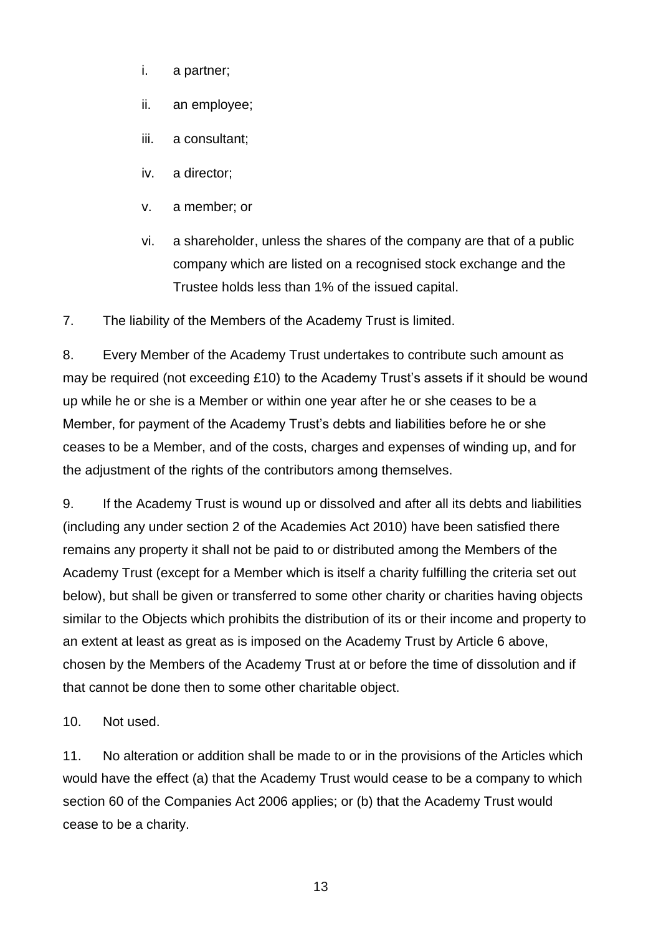- i. a partner;
- ii. an employee;
- iii. a consultant;
- iv. a director;
- v. a member; or
- vi. a shareholder, unless the shares of the company are that of a public company which are listed on a recognised stock exchange and the Trustee holds less than 1% of the issued capital.

7. The liability of the Members of the Academy Trust is limited.

8. Every Member of the Academy Trust undertakes to contribute such amount as may be required (not exceeding £10) to the Academy Trust's assets if it should be wound up while he or she is a Member or within one year after he or she ceases to be a Member, for payment of the Academy Trust's debts and liabilities before he or she ceases to be a Member, and of the costs, charges and expenses of winding up, and for the adjustment of the rights of the contributors among themselves.

9. If the Academy Trust is wound up or dissolved and after all its debts and liabilities (including any under section 2 of the Academies Act 2010) have been satisfied there remains any property it shall not be paid to or distributed among the Members of the Academy Trust (except for a Member which is itself a charity fulfilling the criteria set out below), but shall be given or transferred to some other charity or charities having objects similar to the Objects which prohibits the distribution of its or their income and property to an extent at least as great as is imposed on the Academy Trust by Article 6 above, chosen by the Members of the Academy Trust at or before the time of dissolution and if that cannot be done then to some other charitable object.

10. Not used.

11. No alteration or addition shall be made to or in the provisions of the Articles which would have the effect (a) that the Academy Trust would cease to be a company to which section 60 of the Companies Act 2006 applies; or (b) that the Academy Trust would cease to be a charity.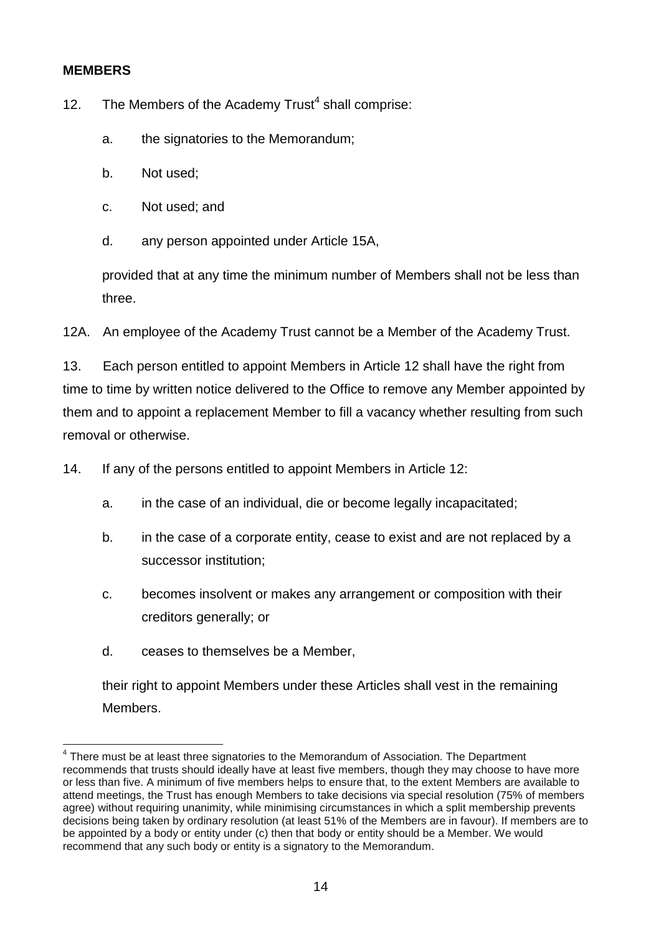#### **MEMBERS**

-

12. The Members of the Academy Trust<sup>4</sup> shall comprise:

- a. the signatories to the Memorandum;
- b. Not used;
- c. Not used; and
- d. any person appointed under Article 15A,

provided that at any time the minimum number of Members shall not be less than three.

12A. An employee of the Academy Trust cannot be a Member of the Academy Trust.

13. Each person entitled to appoint Members in Article 12 shall have the right from time to time by written notice delivered to the Office to remove any Member appointed by them and to appoint a replacement Member to fill a vacancy whether resulting from such removal or otherwise.

14. If any of the persons entitled to appoint Members in Article 12:

- a. in the case of an individual, die or become legally incapacitated;
- b. in the case of a corporate entity, cease to exist and are not replaced by a successor institution;
- c. becomes insolvent or makes any arrangement or composition with their creditors generally; or
- d. ceases to themselves be a Member,

their right to appoint Members under these Articles shall vest in the remaining Members.

<sup>&</sup>lt;sup>4</sup> There must be at least three signatories to the Memorandum of Association. The Department recommends that trusts should ideally have at least five members, though they may choose to have more or less than five. A minimum of five members helps to ensure that, to the extent Members are available to attend meetings, the Trust has enough Members to take decisions via special resolution (75% of members agree) without requiring unanimity, while minimising circumstances in which a split membership prevents decisions being taken by ordinary resolution (at least 51% of the Members are in favour). If members are to be appointed by a body or entity under (c) then that body or entity should be a Member. We would recommend that any such body or entity is a signatory to the Memorandum.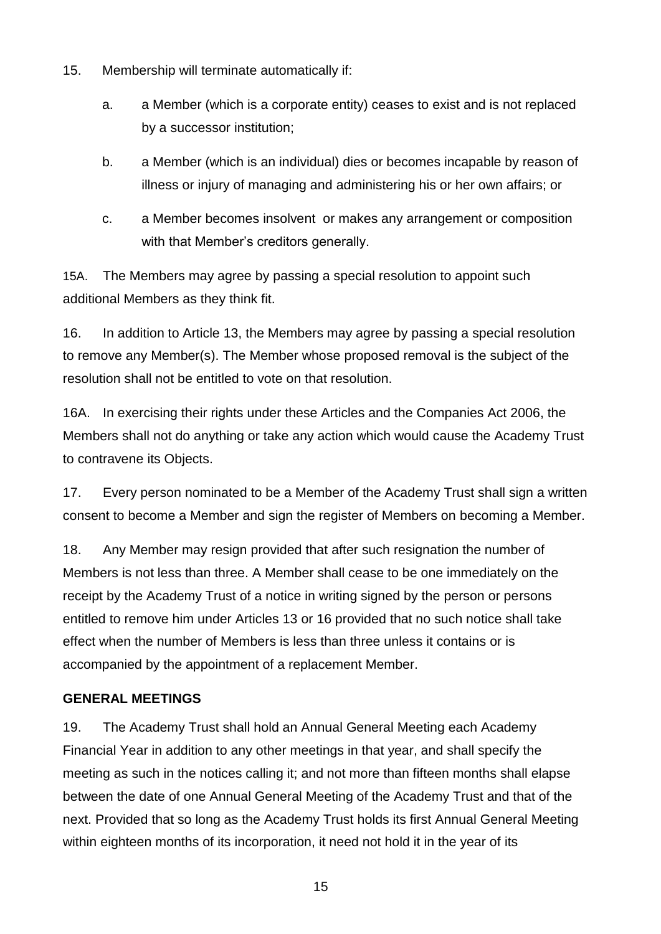- 15. Membership will terminate automatically if:
	- a. a Member (which is a corporate entity) ceases to exist and is not replaced by a successor institution;
	- b. a Member (which is an individual) dies or becomes incapable by reason of illness or injury of managing and administering his or her own affairs; or
	- c. a Member becomes insolvent or makes any arrangement or composition with that Member's creditors generally.

15A. The Members may agree by passing a special resolution to appoint such additional Members as they think fit.

16. In addition to Article 13, the Members may agree by passing a special resolution to remove any Member(s). The Member whose proposed removal is the subject of the resolution shall not be entitled to vote on that resolution.

16A. In exercising their rights under these Articles and the Companies Act 2006, the Members shall not do anything or take any action which would cause the Academy Trust to contravene its Objects.

17. Every person nominated to be a Member of the Academy Trust shall sign a written consent to become a Member and sign the register of Members on becoming a Member.

18. Any Member may resign provided that after such resignation the number of Members is not less than three. A Member shall cease to be one immediately on the receipt by the Academy Trust of a notice in writing signed by the person or persons entitled to remove him under Articles 13 or 16 provided that no such notice shall take effect when the number of Members is less than three unless it contains or is accompanied by the appointment of a replacement Member.

## **GENERAL MEETINGS**

19. The Academy Trust shall hold an Annual General Meeting each Academy Financial Year in addition to any other meetings in that year, and shall specify the meeting as such in the notices calling it; and not more than fifteen months shall elapse between the date of one Annual General Meeting of the Academy Trust and that of the next. Provided that so long as the Academy Trust holds its first Annual General Meeting within eighteen months of its incorporation, it need not hold it in the year of its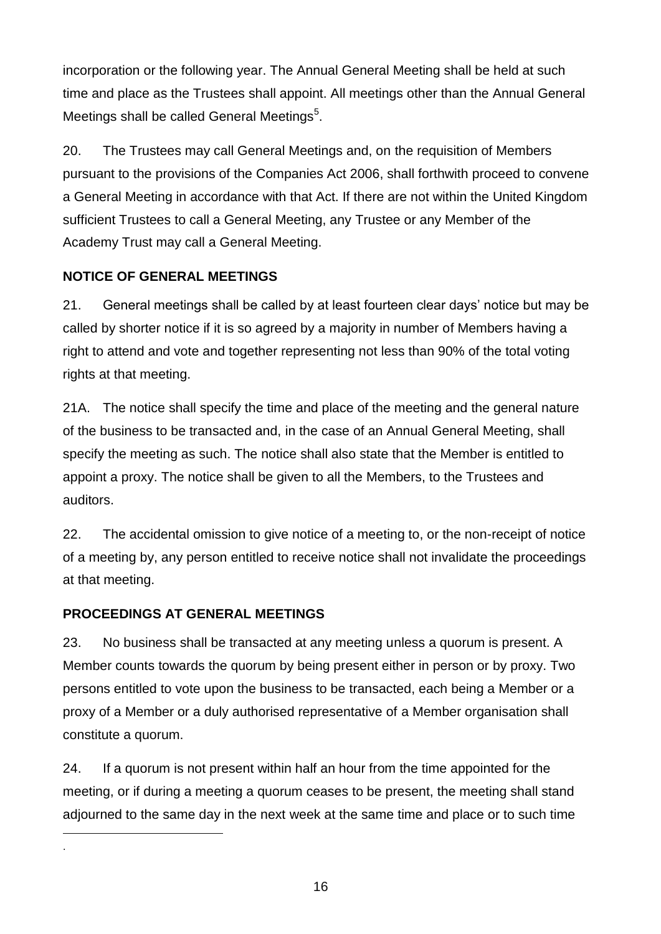incorporation or the following year. The Annual General Meeting shall be held at such time and place as the Trustees shall appoint. All meetings other than the Annual General Meetings shall be called General Meetings<sup>5</sup>.

20. The Trustees may call General Meetings and, on the requisition of Members pursuant to the provisions of the Companies Act 2006, shall forthwith proceed to convene a General Meeting in accordance with that Act. If there are not within the United Kingdom sufficient Trustees to call a General Meeting, any Trustee or any Member of the Academy Trust may call a General Meeting.

### **NOTICE OF GENERAL MEETINGS**

21. General meetings shall be called by at least fourteen clear days' notice but may be called by shorter notice if it is so agreed by a majority in number of Members having a right to attend and vote and together representing not less than 90% of the total voting rights at that meeting.

21A. The notice shall specify the time and place of the meeting and the general nature of the business to be transacted and, in the case of an Annual General Meeting, shall specify the meeting as such. The notice shall also state that the Member is entitled to appoint a proxy. The notice shall be given to all the Members, to the Trustees and auditors.

22. The accidental omission to give notice of a meeting to, or the non-receipt of notice of a meeting by, any person entitled to receive notice shall not invalidate the proceedings at that meeting.

## **PROCEEDINGS AT GENERAL MEETINGS**

-.

23. No business shall be transacted at any meeting unless a quorum is present. A Member counts towards the quorum by being present either in person or by proxy. Two persons entitled to vote upon the business to be transacted, each being a Member or a proxy of a Member or a duly authorised representative of a Member organisation shall constitute a quorum.

24. If a quorum is not present within half an hour from the time appointed for the meeting, or if during a meeting a quorum ceases to be present, the meeting shall stand adjourned to the same day in the next week at the same time and place or to such time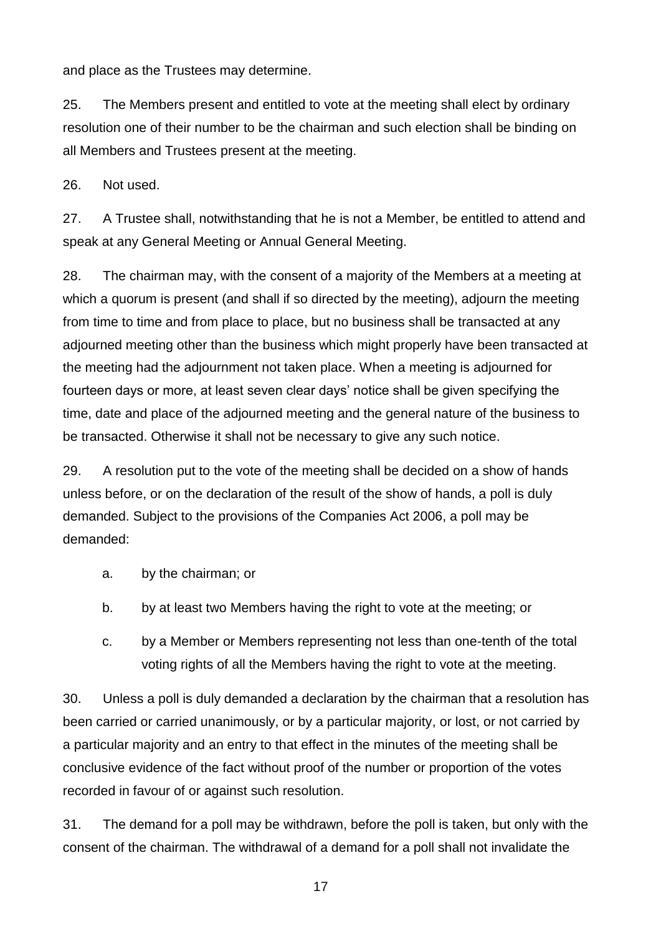and place as the Trustees may determine.

25. The Members present and entitled to vote at the meeting shall elect by ordinary resolution one of their number to be the chairman and such election shall be binding on all Members and Trustees present at the meeting.

26. Not used.

27. A Trustee shall, notwithstanding that he is not a Member, be entitled to attend and speak at any General Meeting or Annual General Meeting.

28. The chairman may, with the consent of a majority of the Members at a meeting at which a quorum is present (and shall if so directed by the meeting), adjourn the meeting from time to time and from place to place, but no business shall be transacted at any adjourned meeting other than the business which might properly have been transacted at the meeting had the adjournment not taken place. When a meeting is adjourned for fourteen days or more, at least seven clear days' notice shall be given specifying the time, date and place of the adjourned meeting and the general nature of the business to be transacted. Otherwise it shall not be necessary to give any such notice.

29. A resolution put to the vote of the meeting shall be decided on a show of hands unless before, or on the declaration of the result of the show of hands, a poll is duly demanded. Subject to the provisions of the Companies Act 2006, a poll may be demanded:

- a. by the chairman; or
- b. by at least two Members having the right to vote at the meeting; or
- c. by a Member or Members representing not less than one-tenth of the total voting rights of all the Members having the right to vote at the meeting.

30. Unless a poll is duly demanded a declaration by the chairman that a resolution has been carried or carried unanimously, or by a particular majority, or lost, or not carried by a particular majority and an entry to that effect in the minutes of the meeting shall be conclusive evidence of the fact without proof of the number or proportion of the votes recorded in favour of or against such resolution.

31. The demand for a poll may be withdrawn, before the poll is taken, but only with the consent of the chairman. The withdrawal of a demand for a poll shall not invalidate the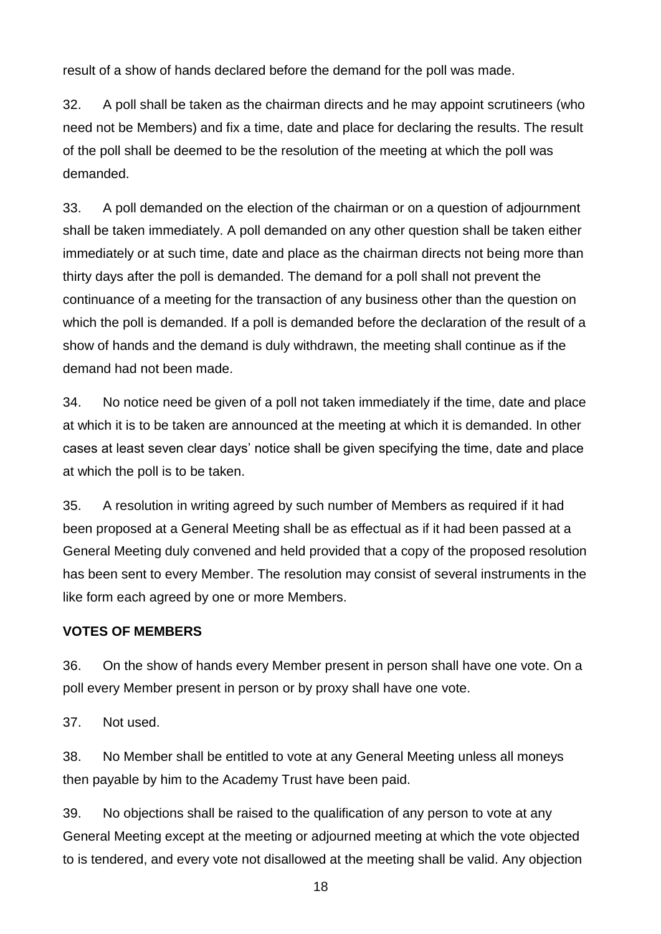result of a show of hands declared before the demand for the poll was made.

32. A poll shall be taken as the chairman directs and he may appoint scrutineers (who need not be Members) and fix a time, date and place for declaring the results. The result of the poll shall be deemed to be the resolution of the meeting at which the poll was demanded.

33. A poll demanded on the election of the chairman or on a question of adjournment shall be taken immediately. A poll demanded on any other question shall be taken either immediately or at such time, date and place as the chairman directs not being more than thirty days after the poll is demanded. The demand for a poll shall not prevent the continuance of a meeting for the transaction of any business other than the question on which the poll is demanded. If a poll is demanded before the declaration of the result of a show of hands and the demand is duly withdrawn, the meeting shall continue as if the demand had not been made.

34. No notice need be given of a poll not taken immediately if the time, date and place at which it is to be taken are announced at the meeting at which it is demanded. In other cases at least seven clear days' notice shall be given specifying the time, date and place at which the poll is to be taken.

35. A resolution in writing agreed by such number of Members as required if it had been proposed at a General Meeting shall be as effectual as if it had been passed at a General Meeting duly convened and held provided that a copy of the proposed resolution has been sent to every Member. The resolution may consist of several instruments in the like form each agreed by one or more Members.

#### **VOTES OF MEMBERS**

36. On the show of hands every Member present in person shall have one vote. On a poll every Member present in person or by proxy shall have one vote.

37. Not used.

38. No Member shall be entitled to vote at any General Meeting unless all moneys then payable by him to the Academy Trust have been paid.

39. No objections shall be raised to the qualification of any person to vote at any General Meeting except at the meeting or adjourned meeting at which the vote objected to is tendered, and every vote not disallowed at the meeting shall be valid. Any objection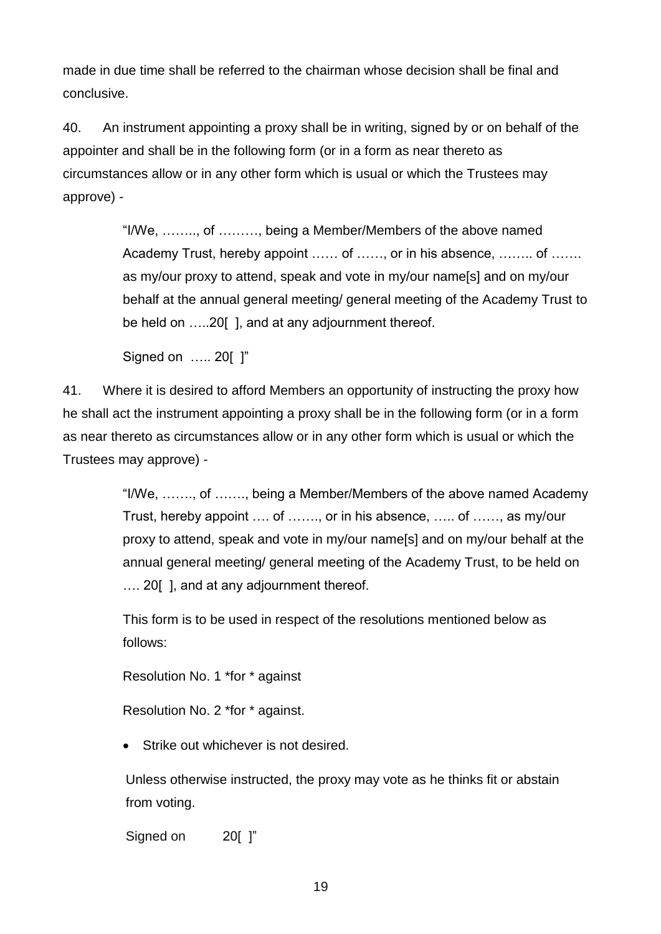made in due time shall be referred to the chairman whose decision shall be final and conclusive.

40. An instrument appointing a proxy shall be in writing, signed by or on behalf of the appointer and shall be in the following form (or in a form as near thereto as circumstances allow or in any other form which is usual or which the Trustees may approve) -

> "I/We, …….., of ………, being a Member/Members of the above named Academy Trust, hereby appoint …… of ……, or in his absence, …….. of ……. as my/our proxy to attend, speak and vote in my/our name[s] and on my/our behalf at the annual general meeting/ general meeting of the Academy Trust to be held on …..20[ ], and at any adjournment thereof.

Signed on ….. 20[ ]"

41. Where it is desired to afford Members an opportunity of instructing the proxy how he shall act the instrument appointing a proxy shall be in the following form (or in a form as near thereto as circumstances allow or in any other form which is usual or which the Trustees may approve) -

> "I/We, ……., of ……., being a Member/Members of the above named Academy Trust, hereby appoint …. of ……., or in his absence, ….. of ……, as my/our proxy to attend, speak and vote in my/our name[s] and on my/our behalf at the annual general meeting/ general meeting of the Academy Trust, to be held on …. 20[ ], and at any adjournment thereof.

This form is to be used in respect of the resolutions mentioned below as follows:

Resolution No. 1 \*for \* against

Resolution No. 2 \*for \* against.

• Strike out whichever is not desired.

Unless otherwise instructed, the proxy may vote as he thinks fit or abstain from voting.

Signed on 201 l"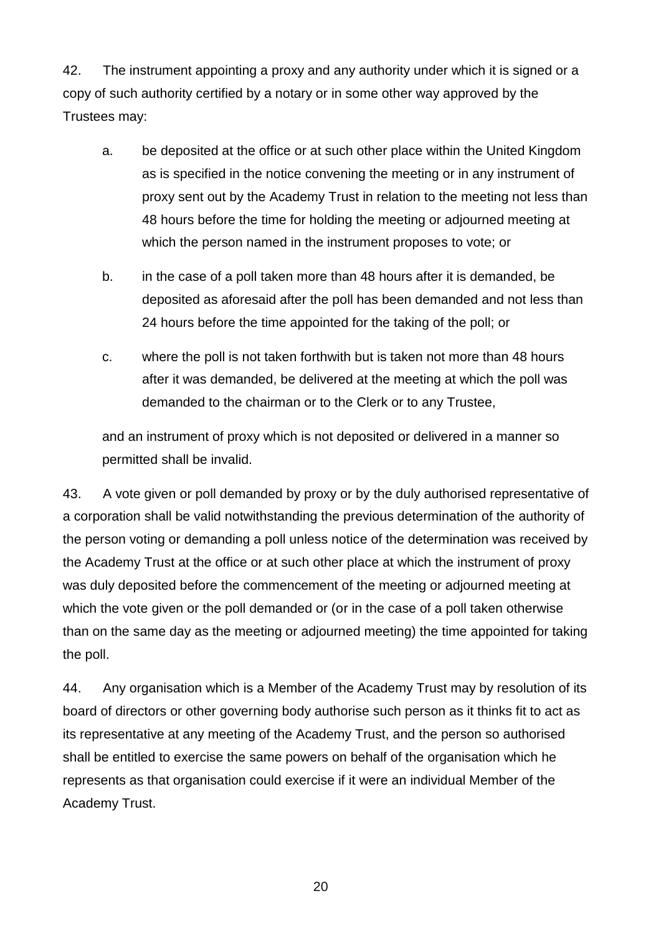42. The instrument appointing a proxy and any authority under which it is signed or a copy of such authority certified by a notary or in some other way approved by the Trustees may:

- a. be deposited at the office or at such other place within the United Kingdom as is specified in the notice convening the meeting or in any instrument of proxy sent out by the Academy Trust in relation to the meeting not less than 48 hours before the time for holding the meeting or adjourned meeting at which the person named in the instrument proposes to vote; or
- b. in the case of a poll taken more than 48 hours after it is demanded, be deposited as aforesaid after the poll has been demanded and not less than 24 hours before the time appointed for the taking of the poll; or
- c. where the poll is not taken forthwith but is taken not more than 48 hours after it was demanded, be delivered at the meeting at which the poll was demanded to the chairman or to the Clerk or to any Trustee,

and an instrument of proxy which is not deposited or delivered in a manner so permitted shall be invalid.

43. A vote given or poll demanded by proxy or by the duly authorised representative of a corporation shall be valid notwithstanding the previous determination of the authority of the person voting or demanding a poll unless notice of the determination was received by the Academy Trust at the office or at such other place at which the instrument of proxy was duly deposited before the commencement of the meeting or adjourned meeting at which the vote given or the poll demanded or (or in the case of a poll taken otherwise than on the same day as the meeting or adjourned meeting) the time appointed for taking the poll.

44. Any organisation which is a Member of the Academy Trust may by resolution of its board of directors or other governing body authorise such person as it thinks fit to act as its representative at any meeting of the Academy Trust, and the person so authorised shall be entitled to exercise the same powers on behalf of the organisation which he represents as that organisation could exercise if it were an individual Member of the Academy Trust.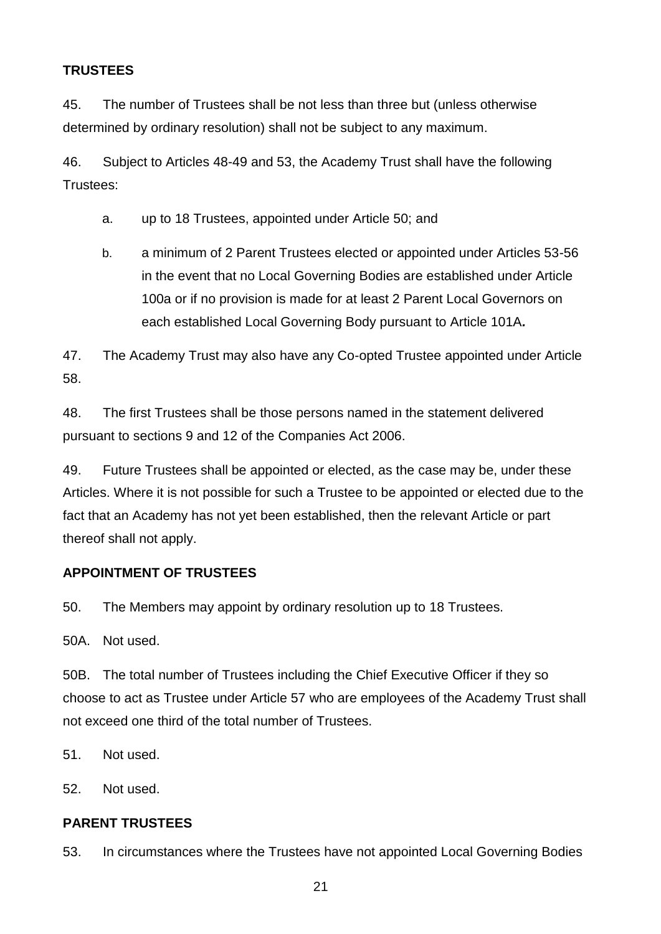## **TRUSTEES**

45. The number of Trustees shall be not less than three but (unless otherwise determined by ordinary resolution) shall not be subject to any maximum.

46. Subject to Articles 48-49 and 53, the Academy Trust shall have the following Trustees:

- a. up to 18 Trustees, appointed under Article 50; and
- b. a minimum of 2 Parent Trustees elected or appointed under Articles 53-56 in the event that no Local Governing Bodies are established under Article 100a or if no provision is made for at least 2 Parent Local Governors on each established Local Governing Body pursuant to Article 101A*.*

47. The Academy Trust may also have any Co-opted Trustee appointed under Article 58.

48. The first Trustees shall be those persons named in the statement delivered pursuant to sections 9 and 12 of the Companies Act 2006.

49. Future Trustees shall be appointed or elected, as the case may be, under these Articles. Where it is not possible for such a Trustee to be appointed or elected due to the fact that an Academy has not yet been established, then the relevant Article or part thereof shall not apply.

## **APPOINTMENT OF TRUSTEES**

50. The Members may appoint by ordinary resolution up to 18 Trustees.

50A. Not used.

50B. The total number of Trustees including the Chief Executive Officer if they so choose to act as Trustee under Article 57 who are employees of the Academy Trust shall not exceed one third of the total number of Trustees.

51. Not used.

52. Not used.

#### **PARENT TRUSTEES**

53. In circumstances where the Trustees have not appointed Local Governing Bodies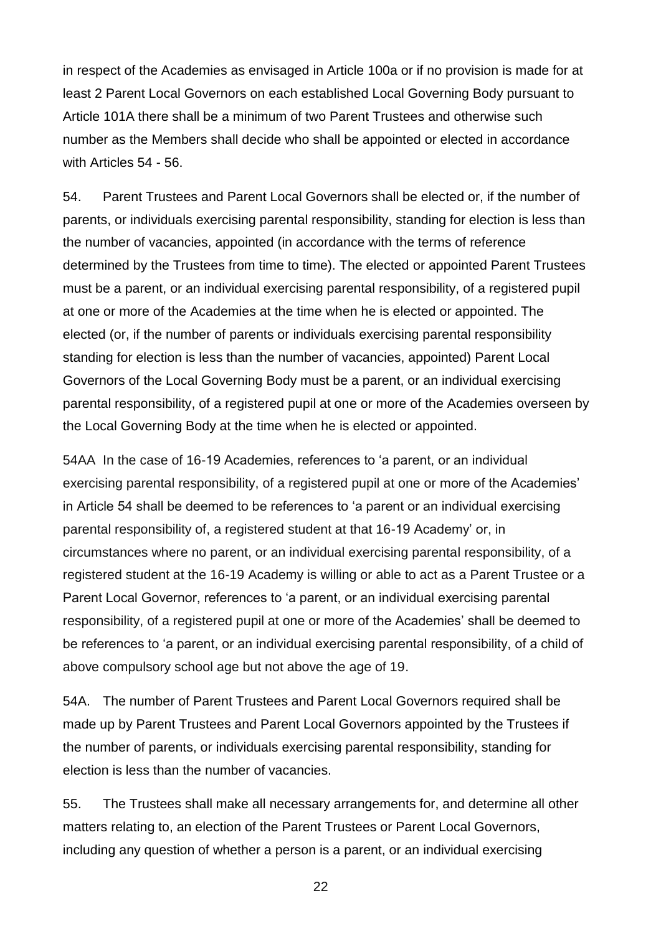in respect of the Academies as envisaged in Article 100a or if no provision is made for at least 2 Parent Local Governors on each established Local Governing Body pursuant to Article 101A there shall be a minimum of two Parent Trustees and otherwise such number as the Members shall decide who shall be appointed or elected in accordance with Articles 54 - 56.

54. Parent Trustees and Parent Local Governors shall be elected or, if the number of parents, or individuals exercising parental responsibility, standing for election is less than the number of vacancies, appointed (in accordance with the terms of reference determined by the Trustees from time to time). The elected or appointed Parent Trustees must be a parent, or an individual exercising parental responsibility, of a registered pupil at one or more of the Academies at the time when he is elected or appointed. The elected (or, if the number of parents or individuals exercising parental responsibility standing for election is less than the number of vacancies, appointed) Parent Local Governors of the Local Governing Body must be a parent, or an individual exercising parental responsibility, of a registered pupil at one or more of the Academies overseen by the Local Governing Body at the time when he is elected or appointed.

54AA In the case of 16-19 Academies, references to 'a parent, or an individual exercising parental responsibility, of a registered pupil at one or more of the Academies' in Article 54 shall be deemed to be references to 'a parent or an individual exercising parental responsibility of, a registered student at that 16-19 Academy' or, in circumstances where no parent, or an individual exercising parental responsibility, of a registered student at the 16-19 Academy is willing or able to act as a Parent Trustee or a Parent Local Governor, references to 'a parent, or an individual exercising parental responsibility, of a registered pupil at one or more of the Academies' shall be deemed to be references to 'a parent, or an individual exercising parental responsibility, of a child of above compulsory school age but not above the age of 19.

54A. The number of Parent Trustees and Parent Local Governors required shall be made up by Parent Trustees and Parent Local Governors appointed by the Trustees if the number of parents, or individuals exercising parental responsibility, standing for election is less than the number of vacancies.

55. The Trustees shall make all necessary arrangements for, and determine all other matters relating to, an election of the Parent Trustees or Parent Local Governors, including any question of whether a person is a parent, or an individual exercising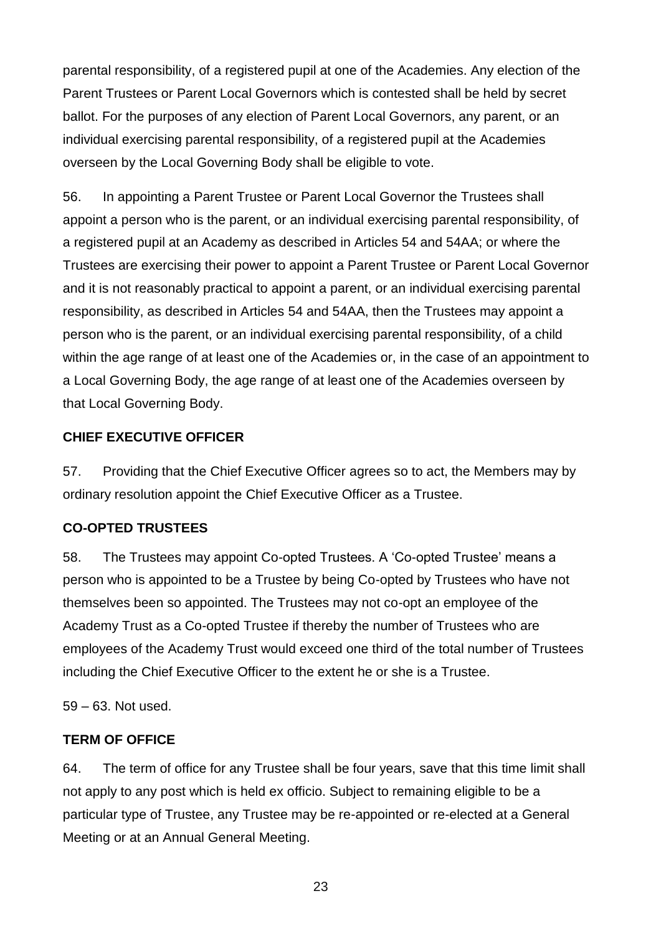parental responsibility, of a registered pupil at one of the Academies. Any election of the Parent Trustees or Parent Local Governors which is contested shall be held by secret ballot. For the purposes of any election of Parent Local Governors, any parent, or an individual exercising parental responsibility, of a registered pupil at the Academies overseen by the Local Governing Body shall be eligible to vote.

56. In appointing a Parent Trustee or Parent Local Governor the Trustees shall appoint a person who is the parent, or an individual exercising parental responsibility, of a registered pupil at an Academy as described in Articles 54 and 54AA; or where the Trustees are exercising their power to appoint a Parent Trustee or Parent Local Governor and it is not reasonably practical to appoint a parent, or an individual exercising parental responsibility, as described in Articles 54 and 54AA, then the Trustees may appoint a person who is the parent, or an individual exercising parental responsibility, of a child within the age range of at least one of the Academies or, in the case of an appointment to a Local Governing Body, the age range of at least one of the Academies overseen by that Local Governing Body.

### **CHIEF EXECUTIVE OFFICER**

57. Providing that the Chief Executive Officer agrees so to act, the Members may by ordinary resolution appoint the Chief Executive Officer as a Trustee.

#### **CO-OPTED TRUSTEES**

58. The Trustees may appoint Co-opted Trustees. A 'Co-opted Trustee' means a person who is appointed to be a Trustee by being Co-opted by Trustees who have not themselves been so appointed. The Trustees may not co-opt an employee of the Academy Trust as a Co-opted Trustee if thereby the number of Trustees who are employees of the Academy Trust would exceed one third of the total number of Trustees including the Chief Executive Officer to the extent he or she is a Trustee.

59 – 63. Not used.

#### **TERM OF OFFICE**

64. The term of office for any Trustee shall be four years, save that this time limit shall not apply to any post which is held ex officio. Subject to remaining eligible to be a particular type of Trustee, any Trustee may be re-appointed or re-elected at a General Meeting or at an Annual General Meeting.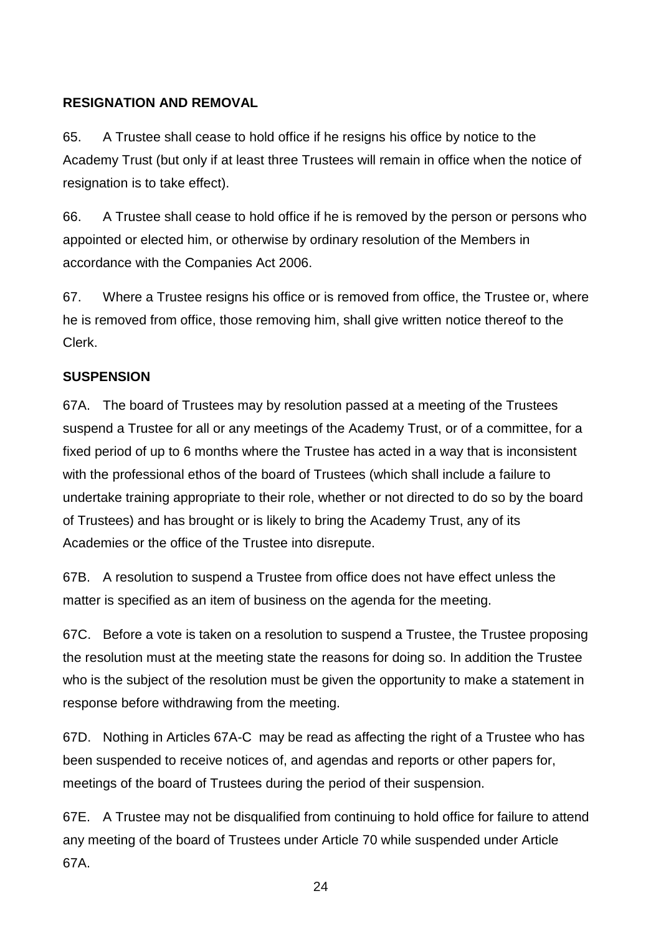#### **RESIGNATION AND REMOVAL**

65. A Trustee shall cease to hold office if he resigns his office by notice to the Academy Trust (but only if at least three Trustees will remain in office when the notice of resignation is to take effect).

66. A Trustee shall cease to hold office if he is removed by the person or persons who appointed or elected him, or otherwise by ordinary resolution of the Members in accordance with the Companies Act 2006.

67. Where a Trustee resigns his office or is removed from office, the Trustee or, where he is removed from office, those removing him, shall give written notice thereof to the Clerk.

### **SUSPENSION**

67A. The board of Trustees may by resolution passed at a meeting of the Trustees suspend a Trustee for all or any meetings of the Academy Trust, or of a committee, for a fixed period of up to 6 months where the Trustee has acted in a way that is inconsistent with the professional ethos of the board of Trustees (which shall include a failure to undertake training appropriate to their role, whether or not directed to do so by the board of Trustees) and has brought or is likely to bring the Academy Trust, any of its Academies or the office of the Trustee into disrepute.

67B. A resolution to suspend a Trustee from office does not have effect unless the matter is specified as an item of business on the agenda for the meeting.

67C. Before a vote is taken on a resolution to suspend a Trustee, the Trustee proposing the resolution must at the meeting state the reasons for doing so. In addition the Trustee who is the subject of the resolution must be given the opportunity to make a statement in response before withdrawing from the meeting.

67D. Nothing in Articles 67A-C may be read as affecting the right of a Trustee who has been suspended to receive notices of, and agendas and reports or other papers for, meetings of the board of Trustees during the period of their suspension.

67E. A Trustee may not be disqualified from continuing to hold office for failure to attend any meeting of the board of Trustees under Article 70 while suspended under Article 67A.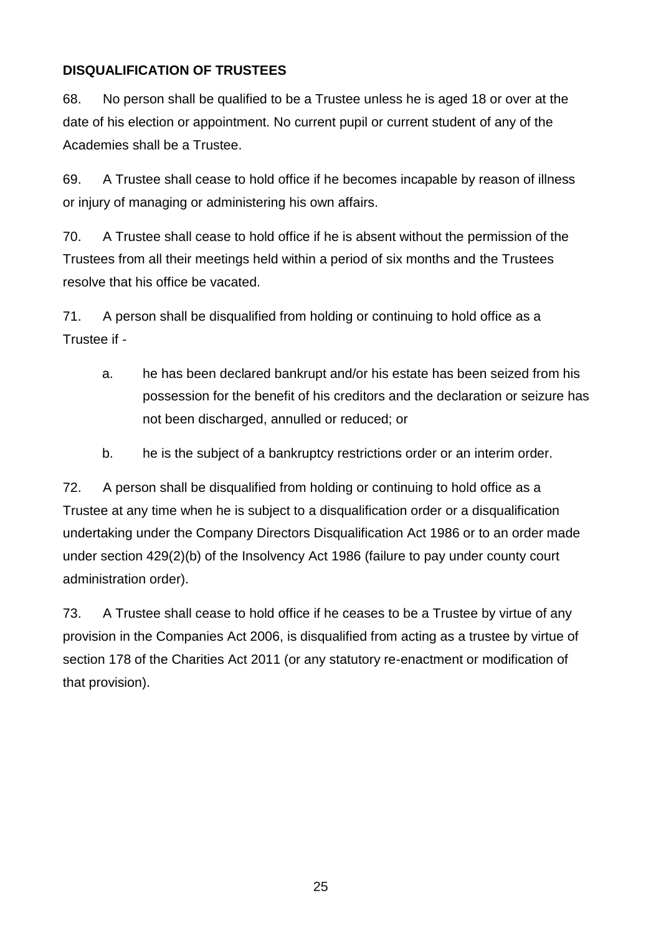## **DISQUALIFICATION OF TRUSTEES**

68. No person shall be qualified to be a Trustee unless he is aged 18 or over at the date of his election or appointment. No current pupil or current student of any of the Academies shall be a Trustee.

69. A Trustee shall cease to hold office if he becomes incapable by reason of illness or injury of managing or administering his own affairs.

70. A Trustee shall cease to hold office if he is absent without the permission of the Trustees from all their meetings held within a period of six months and the Trustees resolve that his office be vacated.

71. A person shall be disqualified from holding or continuing to hold office as a Trustee if -

- a. he has been declared bankrupt and/or his estate has been seized from his possession for the benefit of his creditors and the declaration or seizure has not been discharged, annulled or reduced; or
- b. he is the subject of a bankruptcy restrictions order or an interim order.

72. A person shall be disqualified from holding or continuing to hold office as a Trustee at any time when he is subject to a disqualification order or a disqualification undertaking under the Company Directors Disqualification Act 1986 or to an order made under section 429(2)(b) of the Insolvency Act 1986 (failure to pay under county court administration order).

73. A Trustee shall cease to hold office if he ceases to be a Trustee by virtue of any provision in the Companies Act 2006, is disqualified from acting as a trustee by virtue of section 178 of the Charities Act 2011 (or any statutory re-enactment or modification of that provision).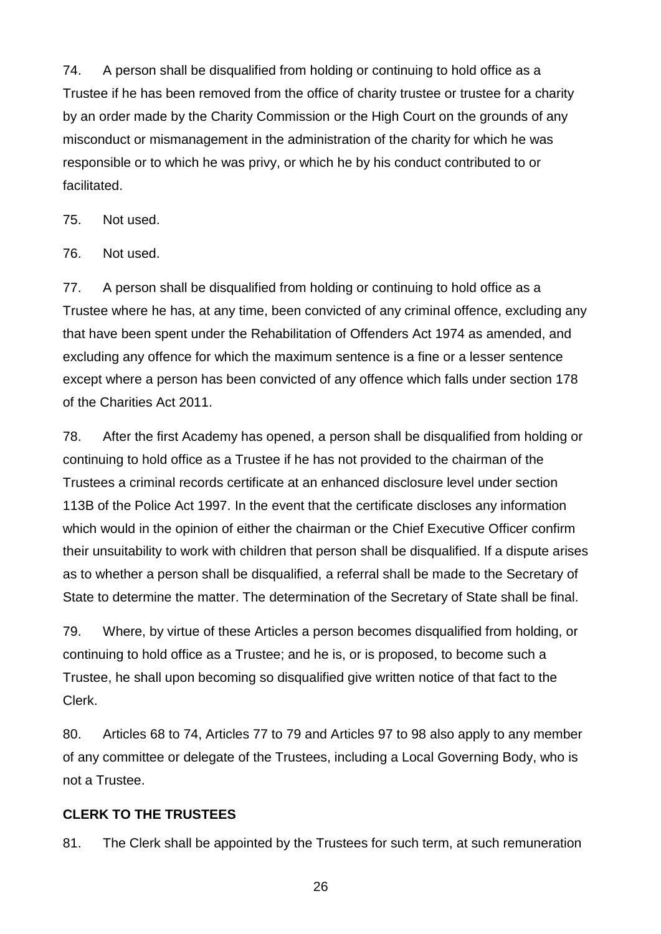74. A person shall be disqualified from holding or continuing to hold office as a Trustee if he has been removed from the office of charity trustee or trustee for a charity by an order made by the Charity Commission or the High Court on the grounds of any misconduct or mismanagement in the administration of the charity for which he was responsible or to which he was privy, or which he by his conduct contributed to or facilitated.

75. Not used.

76. Not used.

77. A person shall be disqualified from holding or continuing to hold office as a Trustee where he has, at any time, been convicted of any criminal offence, excluding any that have been spent under the Rehabilitation of Offenders Act 1974 as amended, and excluding any offence for which the maximum sentence is a fine or a lesser sentence except where a person has been convicted of any offence which falls under section 178 of the Charities Act 2011.

78. After the first Academy has opened, a person shall be disqualified from holding or continuing to hold office as a Trustee if he has not provided to the chairman of the Trustees a criminal records certificate at an enhanced disclosure level under section 113B of the Police Act 1997. In the event that the certificate discloses any information which would in the opinion of either the chairman or the Chief Executive Officer confirm their unsuitability to work with children that person shall be disqualified. If a dispute arises as to whether a person shall be disqualified, a referral shall be made to the Secretary of State to determine the matter. The determination of the Secretary of State shall be final.

79. Where, by virtue of these Articles a person becomes disqualified from holding, or continuing to hold office as a Trustee; and he is, or is proposed, to become such a Trustee, he shall upon becoming so disqualified give written notice of that fact to the Clerk.

80. Articles 68 to 74, Articles 77 to 79 and Articles 97 to 98 also apply to any member of any committee or delegate of the Trustees, including a Local Governing Body, who is not a Trustee.

#### **CLERK TO THE TRUSTEES**

81. The Clerk shall be appointed by the Trustees for such term, at such remuneration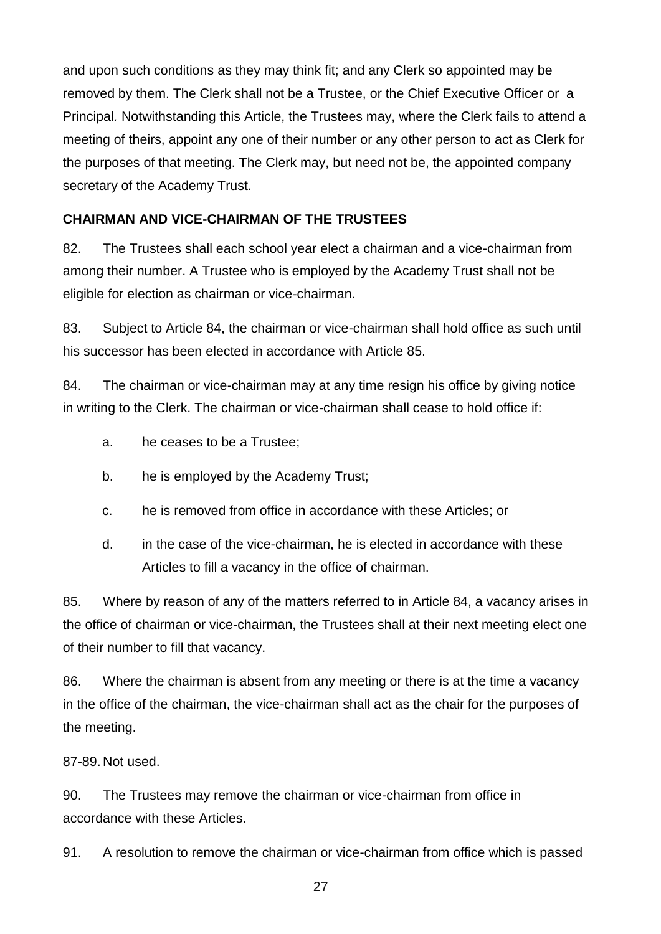and upon such conditions as they may think fit; and any Clerk so appointed may be removed by them. The Clerk shall not be a Trustee, or the Chief Executive Officer or a Principal*.* Notwithstanding this Article, the Trustees may, where the Clerk fails to attend a meeting of theirs, appoint any one of their number or any other person to act as Clerk for the purposes of that meeting. The Clerk may, but need not be, the appointed company secretary of the Academy Trust.

### **CHAIRMAN AND VICE-CHAIRMAN OF THE TRUSTEES**

82. The Trustees shall each school year elect a chairman and a vice-chairman from among their number. A Trustee who is employed by the Academy Trust shall not be eligible for election as chairman or vice-chairman.

83. Subject to Article 84, the chairman or vice-chairman shall hold office as such until his successor has been elected in accordance with Article 85.

84. The chairman or vice-chairman may at any time resign his office by giving notice in writing to the Clerk. The chairman or vice-chairman shall cease to hold office if:

- a. he ceases to be a Trustee;
- b. he is employed by the Academy Trust;
- c. he is removed from office in accordance with these Articles; or
- d. in the case of the vice-chairman, he is elected in accordance with these Articles to fill a vacancy in the office of chairman.

85. Where by reason of any of the matters referred to in Article 84, a vacancy arises in the office of chairman or vice-chairman, the Trustees shall at their next meeting elect one of their number to fill that vacancy.

86. Where the chairman is absent from any meeting or there is at the time a vacancy in the office of the chairman, the vice-chairman shall act as the chair for the purposes of the meeting.

87-89. Not used.

90. The Trustees may remove the chairman or vice-chairman from office in accordance with these Articles.

91. A resolution to remove the chairman or vice-chairman from office which is passed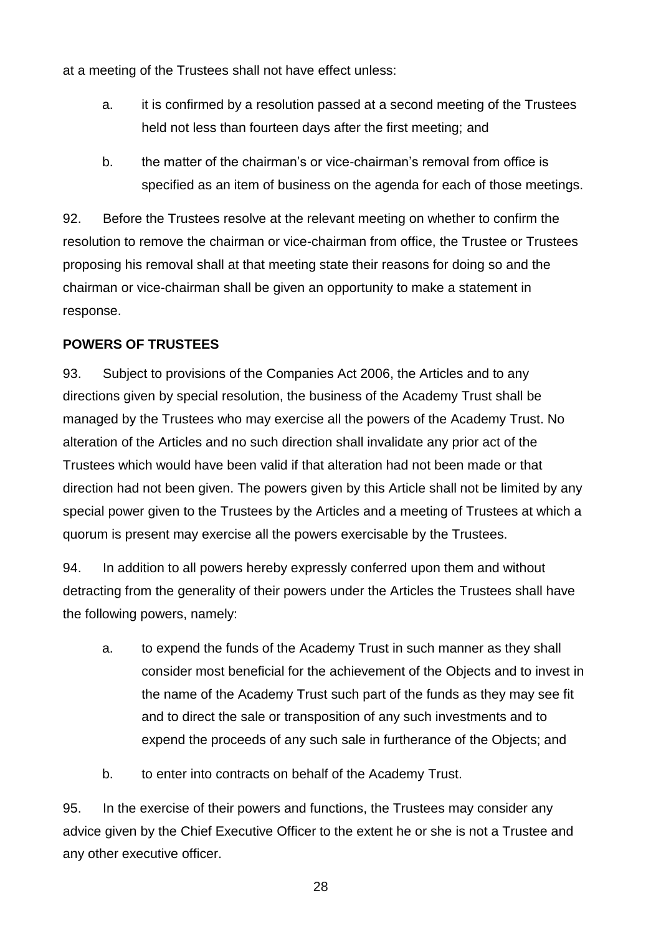at a meeting of the Trustees shall not have effect unless:

- a. it is confirmed by a resolution passed at a second meeting of the Trustees held not less than fourteen days after the first meeting; and
- b. the matter of the chairman's or vice-chairman's removal from office is specified as an item of business on the agenda for each of those meetings.

92. Before the Trustees resolve at the relevant meeting on whether to confirm the resolution to remove the chairman or vice-chairman from office, the Trustee or Trustees proposing his removal shall at that meeting state their reasons for doing so and the chairman or vice-chairman shall be given an opportunity to make a statement in response.

#### **POWERS OF TRUSTEES**

93. Subject to provisions of the Companies Act 2006, the Articles and to any directions given by special resolution, the business of the Academy Trust shall be managed by the Trustees who may exercise all the powers of the Academy Trust. No alteration of the Articles and no such direction shall invalidate any prior act of the Trustees which would have been valid if that alteration had not been made or that direction had not been given. The powers given by this Article shall not be limited by any special power given to the Trustees by the Articles and a meeting of Trustees at which a quorum is present may exercise all the powers exercisable by the Trustees.

94. In addition to all powers hereby expressly conferred upon them and without detracting from the generality of their powers under the Articles the Trustees shall have the following powers, namely:

- a. to expend the funds of the Academy Trust in such manner as they shall consider most beneficial for the achievement of the Objects and to invest in the name of the Academy Trust such part of the funds as they may see fit and to direct the sale or transposition of any such investments and to expend the proceeds of any such sale in furtherance of the Objects; and
- b. to enter into contracts on behalf of the Academy Trust.

95. In the exercise of their powers and functions, the Trustees may consider any advice given by the Chief Executive Officer to the extent he or she is not a Trustee and any other executive officer.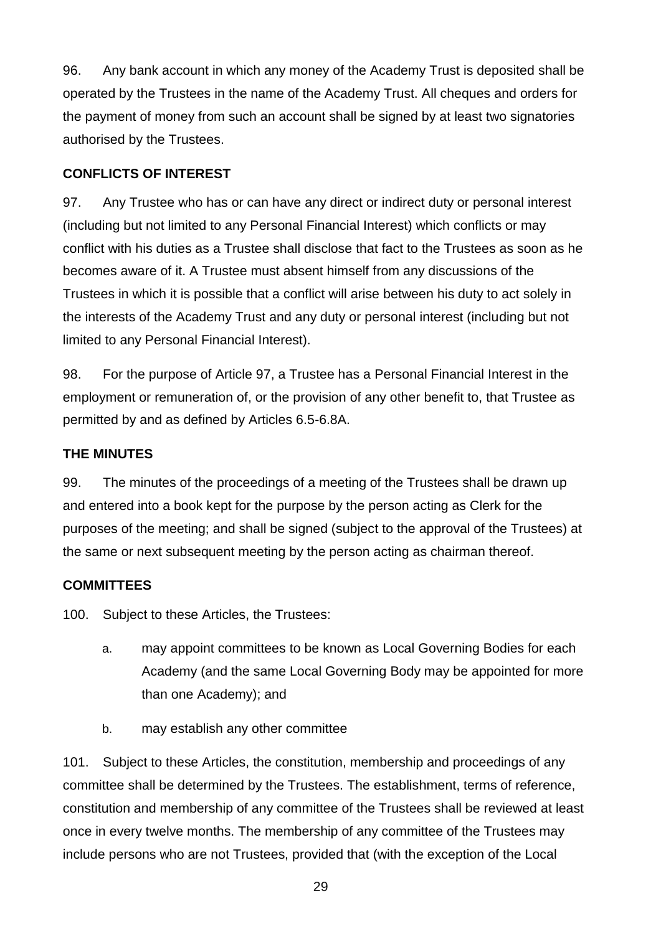96. Any bank account in which any money of the Academy Trust is deposited shall be operated by the Trustees in the name of the Academy Trust. All cheques and orders for the payment of money from such an account shall be signed by at least two signatories authorised by the Trustees.

#### **CONFLICTS OF INTEREST**

97. Any Trustee who has or can have any direct or indirect duty or personal interest (including but not limited to any Personal Financial Interest) which conflicts or may conflict with his duties as a Trustee shall disclose that fact to the Trustees as soon as he becomes aware of it. A Trustee must absent himself from any discussions of the Trustees in which it is possible that a conflict will arise between his duty to act solely in the interests of the Academy Trust and any duty or personal interest (including but not limited to any Personal Financial Interest).

98. For the purpose of Article 97, a Trustee has a Personal Financial Interest in the employment or remuneration of, or the provision of any other benefit to, that Trustee as permitted by and as defined by Articles 6.5-6.8A.

### **THE MINUTES**

99. The minutes of the proceedings of a meeting of the Trustees shall be drawn up and entered into a book kept for the purpose by the person acting as Clerk for the purposes of the meeting; and shall be signed (subject to the approval of the Trustees) at the same or next subsequent meeting by the person acting as chairman thereof.

#### **COMMITTEES**

100. Subject to these Articles, the Trustees:

- a. may appoint committees to be known as Local Governing Bodies for each Academy (and the same Local Governing Body may be appointed for more than one Academy); and
- b. may establish any other committee

101. Subject to these Articles, the constitution, membership and proceedings of any committee shall be determined by the Trustees. The establishment, terms of reference, constitution and membership of any committee of the Trustees shall be reviewed at least once in every twelve months. The membership of any committee of the Trustees may include persons who are not Trustees, provided that (with the exception of the Local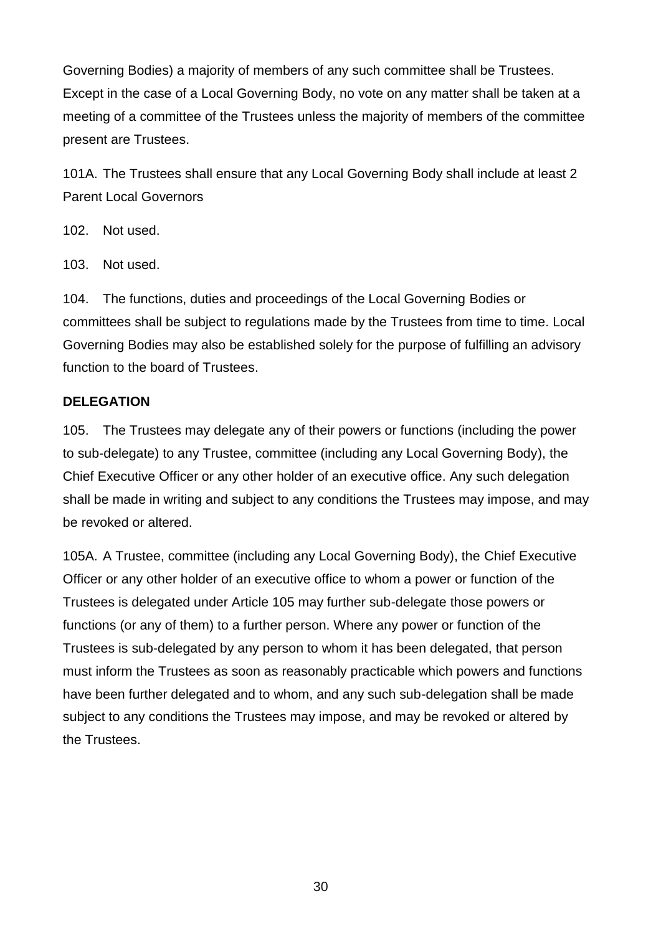Governing Bodies) a majority of members of any such committee shall be Trustees. Except in the case of a Local Governing Body, no vote on any matter shall be taken at a meeting of a committee of the Trustees unless the majority of members of the committee present are Trustees.

101A. The Trustees shall ensure that any Local Governing Body shall include at least 2 Parent Local Governors

102. Not used.

103. Not used.

104. The functions, duties and proceedings of the Local Governing Bodies or committees shall be subject to regulations made by the Trustees from time to time. Local Governing Bodies may also be established solely for the purpose of fulfilling an advisory function to the board of Trustees.

#### **DELEGATION**

105. The Trustees may delegate any of their powers or functions (including the power to sub-delegate) to any Trustee, committee (including any Local Governing Body), the Chief Executive Officer or any other holder of an executive office. Any such delegation shall be made in writing and subject to any conditions the Trustees may impose, and may be revoked or altered.

105A. A Trustee, committee (including any Local Governing Body), the Chief Executive Officer or any other holder of an executive office to whom a power or function of the Trustees is delegated under Article 105 may further sub-delegate those powers or functions (or any of them) to a further person. Where any power or function of the Trustees is sub-delegated by any person to whom it has been delegated, that person must inform the Trustees as soon as reasonably practicable which powers and functions have been further delegated and to whom, and any such sub-delegation shall be made subject to any conditions the Trustees may impose, and may be revoked or altered by the Trustees.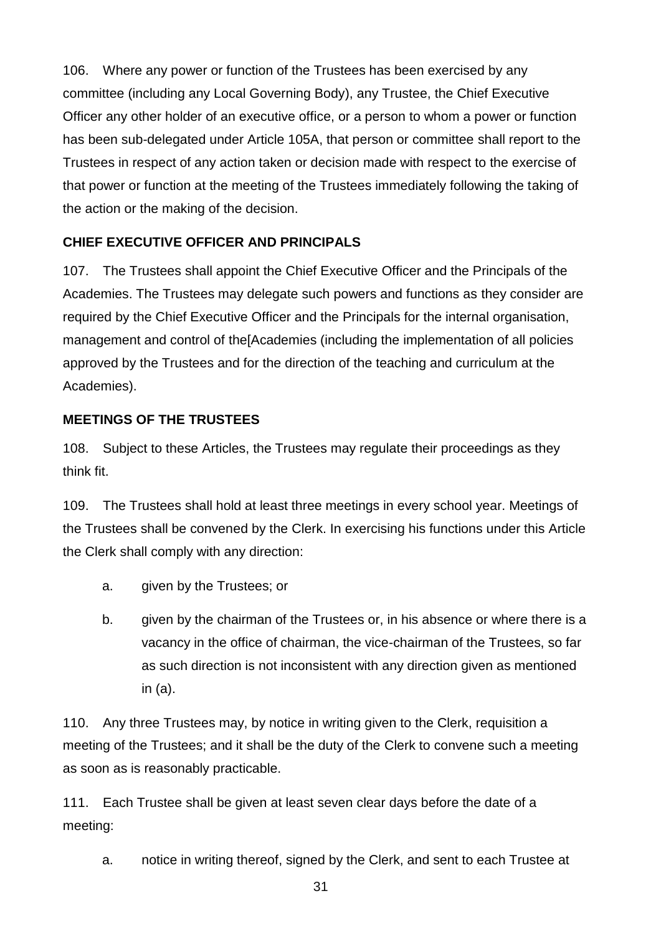106. Where any power or function of the Trustees has been exercised by any committee (including any Local Governing Body), any Trustee, the Chief Executive Officer any other holder of an executive office, or a person to whom a power or function has been sub-delegated under Article 105A, that person or committee shall report to the Trustees in respect of any action taken or decision made with respect to the exercise of that power or function at the meeting of the Trustees immediately following the taking of the action or the making of the decision.

### **CHIEF EXECUTIVE OFFICER AND PRINCIPALS**

107. The Trustees shall appoint the Chief Executive Officer and the Principals of the Academies. The Trustees may delegate such powers and functions as they consider are required by the Chief Executive Officer and the Principals for the internal organisation, management and control of the[Academies (including the implementation of all policies approved by the Trustees and for the direction of the teaching and curriculum at the Academies).

#### **MEETINGS OF THE TRUSTEES**

108. Subject to these Articles, the Trustees may regulate their proceedings as they think fit.

109. The Trustees shall hold at least three meetings in every school year. Meetings of the Trustees shall be convened by the Clerk. In exercising his functions under this Article the Clerk shall comply with any direction:

- a. given by the Trustees; or
- b. given by the chairman of the Trustees or, in his absence or where there is a vacancy in the office of chairman, the vice-chairman of the Trustees, so far as such direction is not inconsistent with any direction given as mentioned in (a).

110. Any three Trustees may, by notice in writing given to the Clerk, requisition a meeting of the Trustees; and it shall be the duty of the Clerk to convene such a meeting as soon as is reasonably practicable.

111. Each Trustee shall be given at least seven clear days before the date of a meeting:

a. notice in writing thereof, signed by the Clerk, and sent to each Trustee at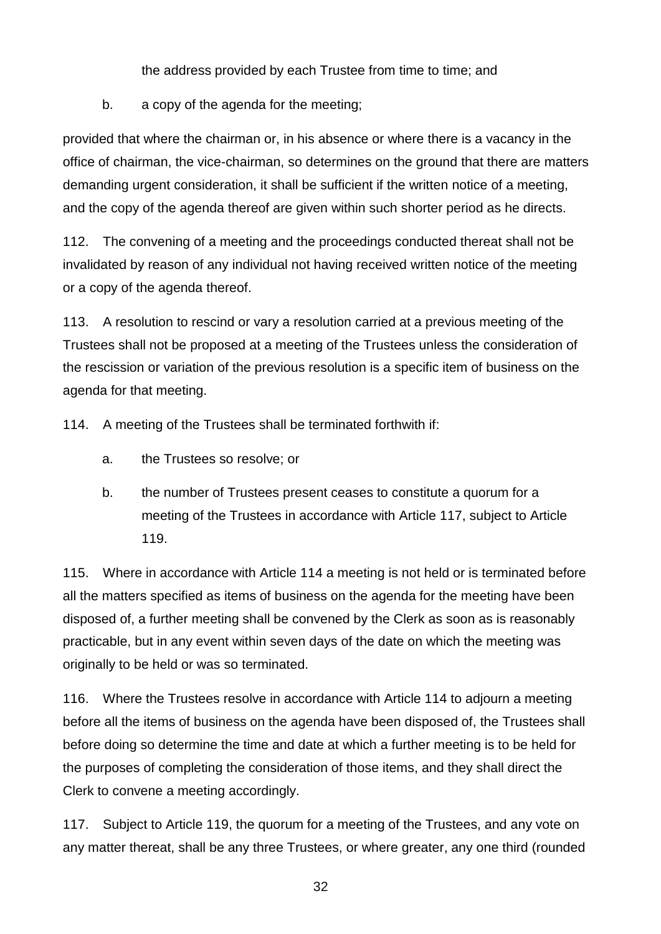the address provided by each Trustee from time to time; and

b. a copy of the agenda for the meeting;

provided that where the chairman or, in his absence or where there is a vacancy in the office of chairman, the vice-chairman, so determines on the ground that there are matters demanding urgent consideration, it shall be sufficient if the written notice of a meeting, and the copy of the agenda thereof are given within such shorter period as he directs.

112. The convening of a meeting and the proceedings conducted thereat shall not be invalidated by reason of any individual not having received written notice of the meeting or a copy of the agenda thereof.

113. A resolution to rescind or vary a resolution carried at a previous meeting of the Trustees shall not be proposed at a meeting of the Trustees unless the consideration of the rescission or variation of the previous resolution is a specific item of business on the agenda for that meeting.

114. A meeting of the Trustees shall be terminated forthwith if:

- a. the Trustees so resolve; or
- b. the number of Trustees present ceases to constitute a quorum for a meeting of the Trustees in accordance with Article 117, subject to Article 119.

115. Where in accordance with Article 114 a meeting is not held or is terminated before all the matters specified as items of business on the agenda for the meeting have been disposed of, a further meeting shall be convened by the Clerk as soon as is reasonably practicable, but in any event within seven days of the date on which the meeting was originally to be held or was so terminated.

116. Where the Trustees resolve in accordance with Article 114 to adjourn a meeting before all the items of business on the agenda have been disposed of, the Trustees shall before doing so determine the time and date at which a further meeting is to be held for the purposes of completing the consideration of those items, and they shall direct the Clerk to convene a meeting accordingly.

117. Subject to Article 119, the quorum for a meeting of the Trustees, and any vote on any matter thereat, shall be any three Trustees, or where greater, any one third (rounded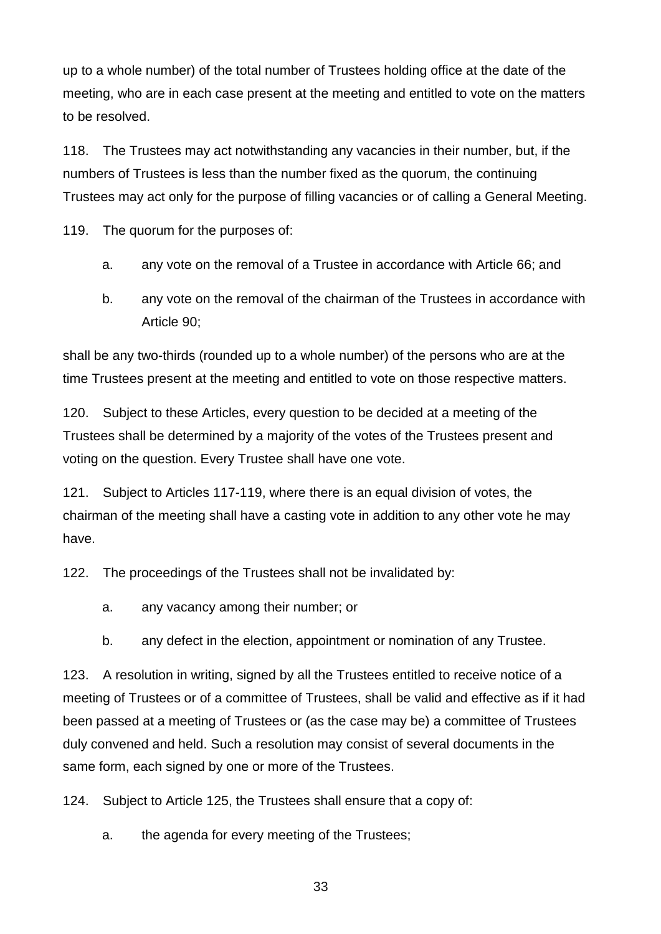up to a whole number) of the total number of Trustees holding office at the date of the meeting, who are in each case present at the meeting and entitled to vote on the matters to be resolved.

118. The Trustees may act notwithstanding any vacancies in their number, but, if the numbers of Trustees is less than the number fixed as the quorum, the continuing Trustees may act only for the purpose of filling vacancies or of calling a General Meeting.

119. The quorum for the purposes of:

- a. any vote on the removal of a Trustee in accordance with Article 66; and
- b. any vote on the removal of the chairman of the Trustees in accordance with Article 90;

shall be any two-thirds (rounded up to a whole number) of the persons who are at the time Trustees present at the meeting and entitled to vote on those respective matters.

120. Subject to these Articles, every question to be decided at a meeting of the Trustees shall be determined by a majority of the votes of the Trustees present and voting on the question. Every Trustee shall have one vote.

121. Subject to Articles 117-119, where there is an equal division of votes, the chairman of the meeting shall have a casting vote in addition to any other vote he may have.

122. The proceedings of the Trustees shall not be invalidated by:

a. any vacancy among their number; or

b. any defect in the election, appointment or nomination of any Trustee.

123. A resolution in writing, signed by all the Trustees entitled to receive notice of a meeting of Trustees or of a committee of Trustees, shall be valid and effective as if it had been passed at a meeting of Trustees or (as the case may be) a committee of Trustees duly convened and held. Such a resolution may consist of several documents in the same form, each signed by one or more of the Trustees.

124. Subject to Article 125, the Trustees shall ensure that a copy of:

a. the agenda for every meeting of the Trustees;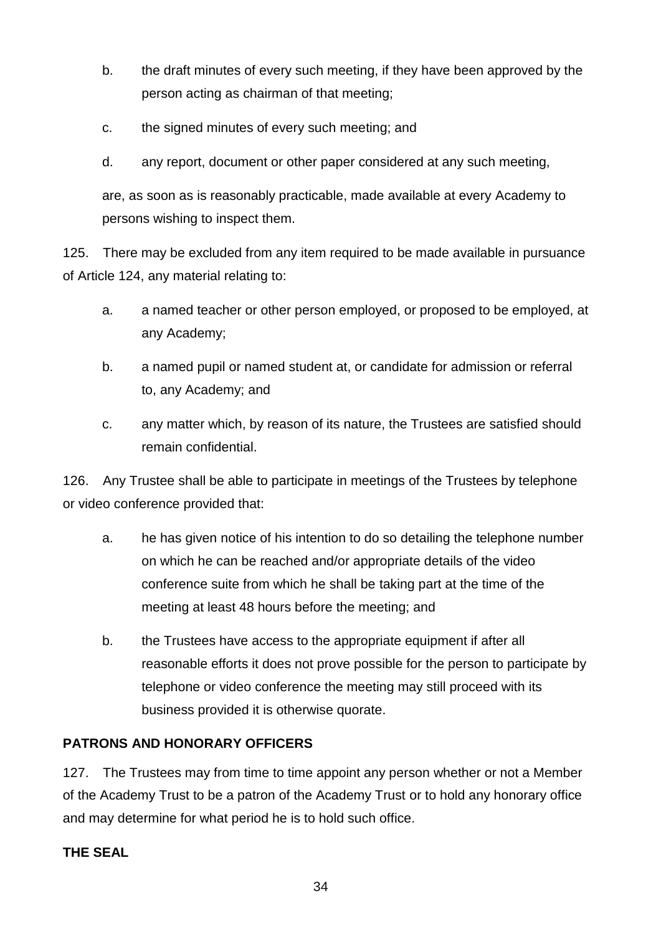- b. the draft minutes of every such meeting, if they have been approved by the person acting as chairman of that meeting;
- c. the signed minutes of every such meeting; and
- d. any report, document or other paper considered at any such meeting,

are, as soon as is reasonably practicable, made available at every Academy to persons wishing to inspect them.

125. There may be excluded from any item required to be made available in pursuance of Article 124, any material relating to:

- a. a named teacher or other person employed, or proposed to be employed, at any Academy;
- b. a named pupil or named student at, or candidate for admission or referral to, any Academy; and
- c. any matter which, by reason of its nature, the Trustees are satisfied should remain confidential.

126. Any Trustee shall be able to participate in meetings of the Trustees by telephone or video conference provided that:

- a. he has given notice of his intention to do so detailing the telephone number on which he can be reached and/or appropriate details of the video conference suite from which he shall be taking part at the time of the meeting at least 48 hours before the meeting; and
- b. the Trustees have access to the appropriate equipment if after all reasonable efforts it does not prove possible for the person to participate by telephone or video conference the meeting may still proceed with its business provided it is otherwise quorate.

## **PATRONS AND HONORARY OFFICERS**

127. The Trustees may from time to time appoint any person whether or not a Member of the Academy Trust to be a patron of the Academy Trust or to hold any honorary office and may determine for what period he is to hold such office.

## **THE SEAL**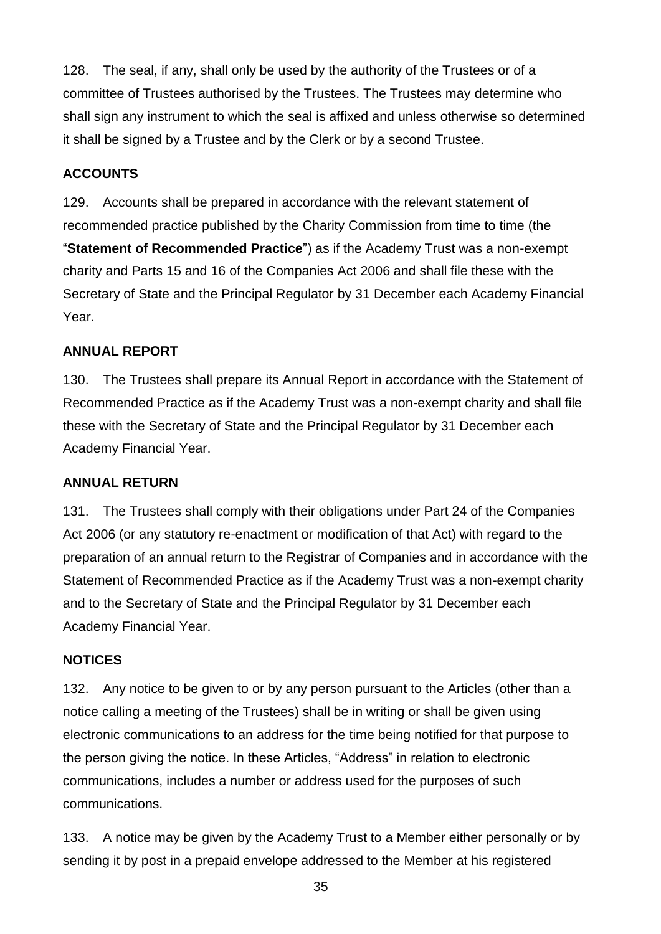128. The seal, if any, shall only be used by the authority of the Trustees or of a committee of Trustees authorised by the Trustees. The Trustees may determine who shall sign any instrument to which the seal is affixed and unless otherwise so determined it shall be signed by a Trustee and by the Clerk or by a second Trustee.

## **ACCOUNTS**

129. Accounts shall be prepared in accordance with the relevant statement of recommended practice published by the Charity Commission from time to time (the "**Statement of Recommended Practice**") as if the Academy Trust was a non-exempt charity and Parts 15 and 16 of the Companies Act 2006 and shall file these with the Secretary of State and the Principal Regulator by 31 December each Academy Financial Year.

#### **ANNUAL REPORT**

130. The Trustees shall prepare its Annual Report in accordance with the Statement of Recommended Practice as if the Academy Trust was a non-exempt charity and shall file these with the Secretary of State and the Principal Regulator by 31 December each Academy Financial Year.

#### **ANNUAL RETURN**

131. The Trustees shall comply with their obligations under Part 24 of the Companies Act 2006 (or any statutory re-enactment or modification of that Act) with regard to the preparation of an annual return to the Registrar of Companies and in accordance with the Statement of Recommended Practice as if the Academy Trust was a non-exempt charity and to the Secretary of State and the Principal Regulator by 31 December each Academy Financial Year.

#### **NOTICES**

132. Any notice to be given to or by any person pursuant to the Articles (other than a notice calling a meeting of the Trustees) shall be in writing or shall be given using electronic communications to an address for the time being notified for that purpose to the person giving the notice. In these Articles, "Address" in relation to electronic communications, includes a number or address used for the purposes of such communications.

133. A notice may be given by the Academy Trust to a Member either personally or by sending it by post in a prepaid envelope addressed to the Member at his registered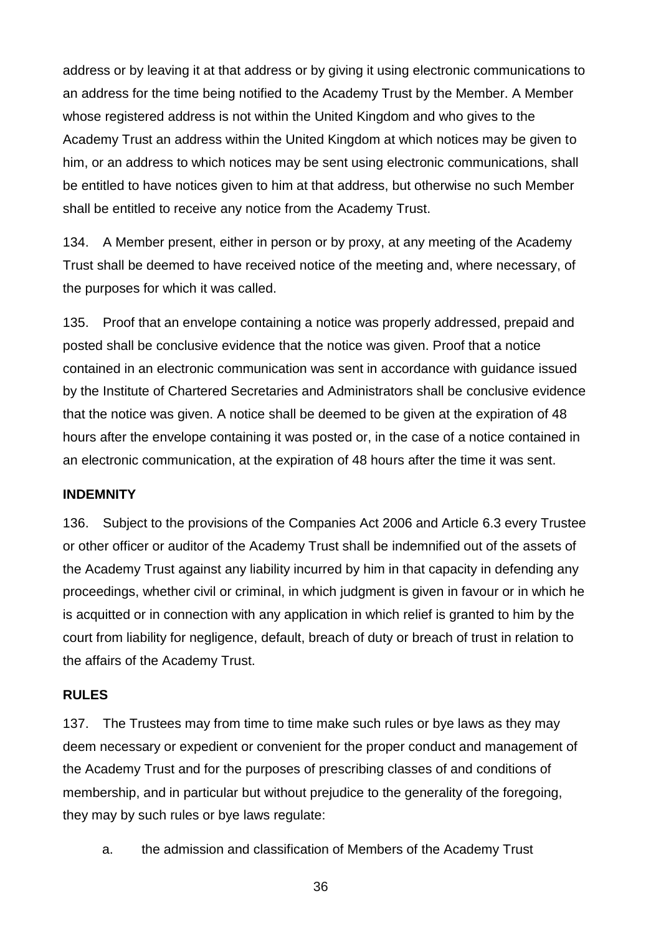address or by leaving it at that address or by giving it using electronic communications to an address for the time being notified to the Academy Trust by the Member. A Member whose registered address is not within the United Kingdom and who gives to the Academy Trust an address within the United Kingdom at which notices may be given to him, or an address to which notices may be sent using electronic communications, shall be entitled to have notices given to him at that address, but otherwise no such Member shall be entitled to receive any notice from the Academy Trust.

134. A Member present, either in person or by proxy, at any meeting of the Academy Trust shall be deemed to have received notice of the meeting and, where necessary, of the purposes for which it was called.

135. Proof that an envelope containing a notice was properly addressed, prepaid and posted shall be conclusive evidence that the notice was given. Proof that a notice contained in an electronic communication was sent in accordance with guidance issued by the Institute of Chartered Secretaries and Administrators shall be conclusive evidence that the notice was given. A notice shall be deemed to be given at the expiration of 48 hours after the envelope containing it was posted or, in the case of a notice contained in an electronic communication, at the expiration of 48 hours after the time it was sent.

#### **INDEMNITY**

136. Subject to the provisions of the Companies Act 2006 and Article 6.3 every Trustee or other officer or auditor of the Academy Trust shall be indemnified out of the assets of the Academy Trust against any liability incurred by him in that capacity in defending any proceedings, whether civil or criminal, in which judgment is given in favour or in which he is acquitted or in connection with any application in which relief is granted to him by the court from liability for negligence, default, breach of duty or breach of trust in relation to the affairs of the Academy Trust.

#### **RULES**

137. The Trustees may from time to time make such rules or bye laws as they may deem necessary or expedient or convenient for the proper conduct and management of the Academy Trust and for the purposes of prescribing classes of and conditions of membership, and in particular but without prejudice to the generality of the foregoing, they may by such rules or bye laws regulate:

a. the admission and classification of Members of the Academy Trust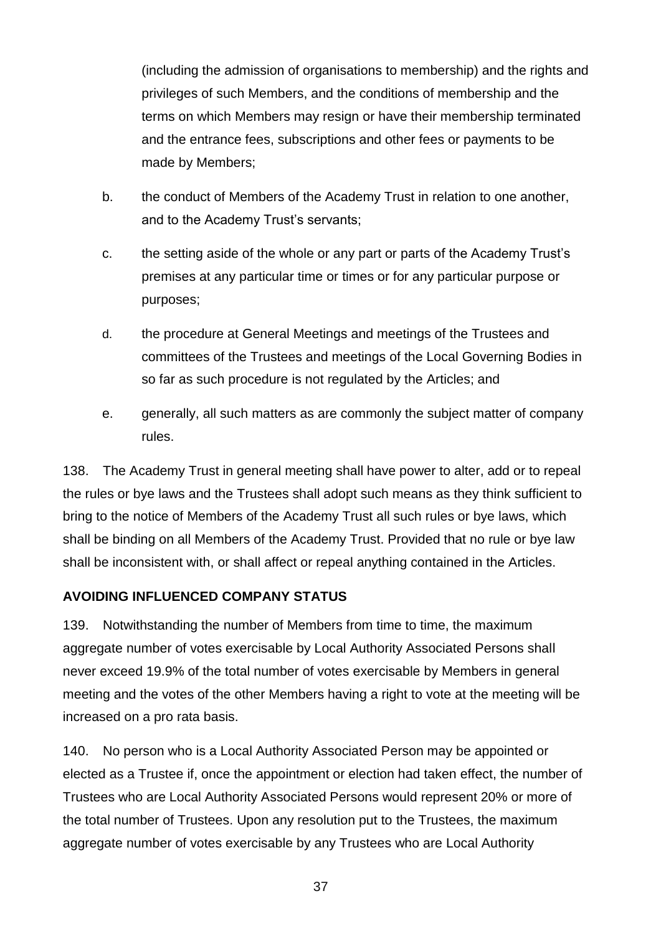(including the admission of organisations to membership) and the rights and privileges of such Members, and the conditions of membership and the terms on which Members may resign or have their membership terminated and the entrance fees, subscriptions and other fees or payments to be made by Members;

- b. the conduct of Members of the Academy Trust in relation to one another, and to the Academy Trust's servants;
- c. the setting aside of the whole or any part or parts of the Academy Trust's premises at any particular time or times or for any particular purpose or purposes;
- d. the procedure at General Meetings and meetings of the Trustees and committees of the Trustees and meetings of the Local Governing Bodies in so far as such procedure is not regulated by the Articles; and
- e. generally, all such matters as are commonly the subject matter of company rules.

138. The Academy Trust in general meeting shall have power to alter, add or to repeal the rules or bye laws and the Trustees shall adopt such means as they think sufficient to bring to the notice of Members of the Academy Trust all such rules or bye laws, which shall be binding on all Members of the Academy Trust. Provided that no rule or bye law shall be inconsistent with, or shall affect or repeal anything contained in the Articles.

#### **AVOIDING INFLUENCED COMPANY STATUS**

139. Notwithstanding the number of Members from time to time, the maximum aggregate number of votes exercisable by Local Authority Associated Persons shall never exceed 19.9% of the total number of votes exercisable by Members in general meeting and the votes of the other Members having a right to vote at the meeting will be increased on a pro rata basis.

140. No person who is a Local Authority Associated Person may be appointed or elected as a Trustee if, once the appointment or election had taken effect, the number of Trustees who are Local Authority Associated Persons would represent 20% or more of the total number of Trustees. Upon any resolution put to the Trustees, the maximum aggregate number of votes exercisable by any Trustees who are Local Authority